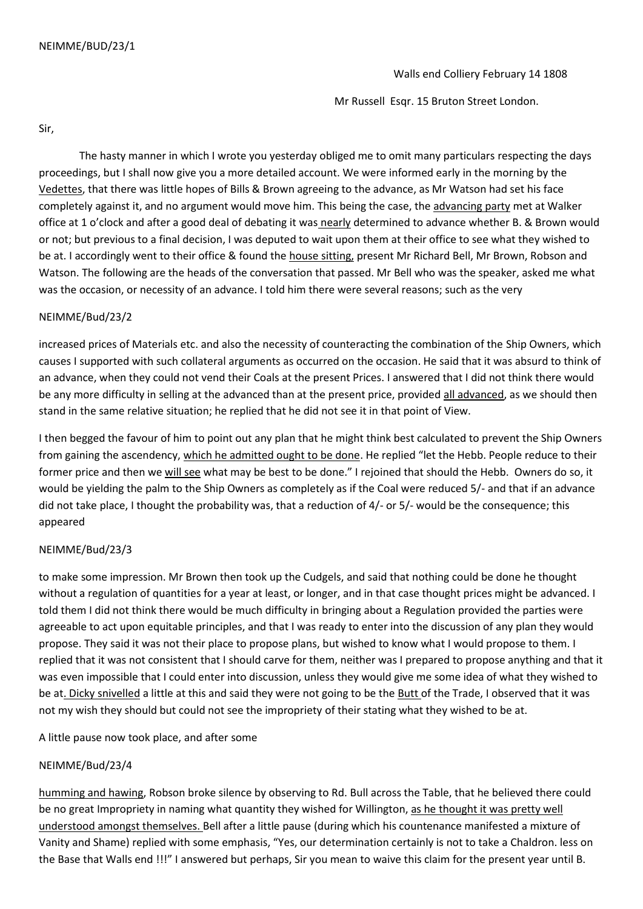Mr Russell Esqr. 15 Bruton Street London.

Sir,

 The hasty manner in which I wrote you yesterday obliged me to omit many particulars respecting the days proceedings, but I shall now give you a more detailed account. We were informed early in the morning by the Vedettes, that there was little hopes of Bills & Brown agreeing to the advance, as Mr Watson had set his face completely against it, and no argument would move him. This being the case, the advancing party met at Walker office at 1 o'clock and after a good deal of debating it was nearly determined to advance whether B. & Brown would or not; but previous to a final decision, I was deputed to wait upon them at their office to see what they wished to be at. I accordingly went to their office & found the house sitting, present Mr Richard Bell, Mr Brown, Robson and Watson. The following are the heads of the conversation that passed. Mr Bell who was the speaker, asked me what was the occasion, or necessity of an advance. I told him there were several reasons; such as the very

# NEIMME/Bud/23/2

increased prices of Materials etc. and also the necessity of counteracting the combination of the Ship Owners, which causes I supported with such collateral arguments as occurred on the occasion. He said that it was absurd to think of an advance, when they could not vend their Coals at the present Prices. I answered that I did not think there would be any more difficulty in selling at the advanced than at the present price, provided all advanced, as we should then stand in the same relative situation; he replied that he did not see it in that point of View.

I then begged the favour of him to point out any plan that he might think best calculated to prevent the Ship Owners from gaining the ascendency, which he admitted ought to be done. He replied "let the Hebb. People reduce to their former price and then we will see what may be best to be done." I rejoined that should the Hebb. Owners do so, it would be yielding the palm to the Ship Owners as completely as if the Coal were reduced 5/- and that if an advance did not take place, I thought the probability was, that a reduction of 4/- or 5/- would be the consequence; this appeared

# NEIMME/Bud/23/3

to make some impression. Mr Brown then took up the Cudgels, and said that nothing could be done he thought without a regulation of quantities for a year at least, or longer, and in that case thought prices might be advanced. I told them I did not think there would be much difficulty in bringing about a Regulation provided the parties were agreeable to act upon equitable principles, and that I was ready to enter into the discussion of any plan they would propose. They said it was not their place to propose plans, but wished to know what I would propose to them. I replied that it was not consistent that I should carve for them, neither was I prepared to propose anything and that it was even impossible that I could enter into discussion, unless they would give me some idea of what they wished to be at. Dicky snivelled a little at this and said they were not going to be the Butt of the Trade, I observed that it was not my wish they should but could not see the impropriety of their stating what they wished to be at.

A little pause now took place, and after some

# NEIMME/Bud/23/4

humming and hawing, Robson broke silence by observing to Rd. Bull across the Table, that he believed there could be no great Impropriety in naming what quantity they wished for Willington, as he thought it was pretty well understood amongst themselves. Bell after a little pause (during which his countenance manifested a mixture of Vanity and Shame) replied with some emphasis, "Yes, our determination certainly is not to take a Chaldron. less on the Base that Walls end !!!" I answered but perhaps, Sir you mean to waive this claim for the present year until B.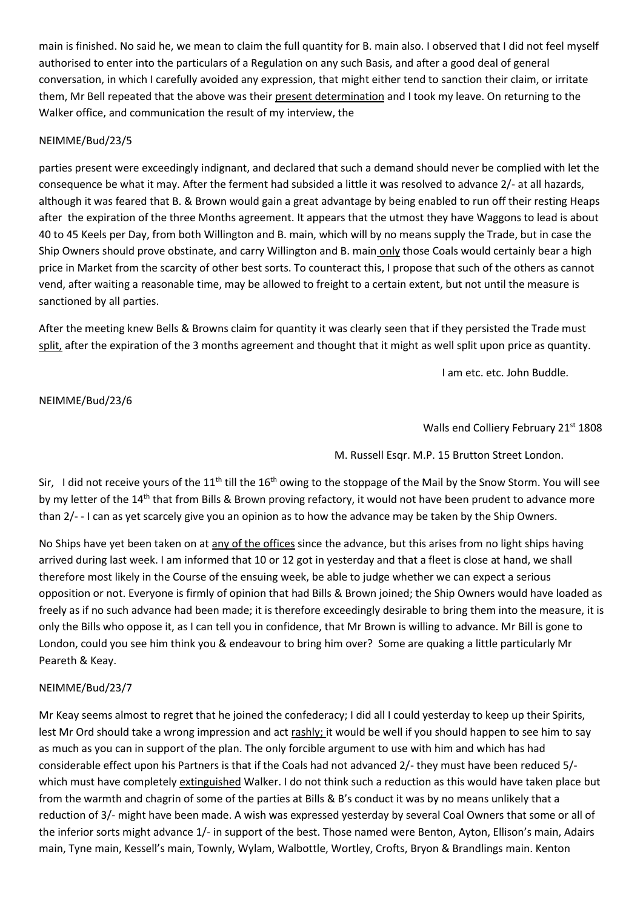main is finished. No said he, we mean to claim the full quantity for B. main also. I observed that I did not feel myself authorised to enter into the particulars of a Regulation on any such Basis, and after a good deal of general conversation, in which I carefully avoided any expression, that might either tend to sanction their claim, or irritate them, Mr Bell repeated that the above was their present determination and I took my leave. On returning to the Walker office, and communication the result of my interview, the

# NEIMME/Bud/23/5

parties present were exceedingly indignant, and declared that such a demand should never be complied with let the consequence be what it may. After the ferment had subsided a little it was resolved to advance 2/- at all hazards, although it was feared that B. & Brown would gain a great advantage by being enabled to run off their resting Heaps after the expiration of the three Months agreement. It appears that the utmost they have Waggons to lead is about 40 to 45 Keels per Day, from both Willington and B. main, which will by no means supply the Trade, but in case the Ship Owners should prove obstinate, and carry Willington and B. main only those Coals would certainly bear a high price in Market from the scarcity of other best sorts. To counteract this, I propose that such of the others as cannot vend, after waiting a reasonable time, may be allowed to freight to a certain extent, but not until the measure is sanctioned by all parties.

After the meeting knew Bells & Browns claim for quantity it was clearly seen that if they persisted the Trade must split, after the expiration of the 3 months agreement and thought that it might as well split upon price as quantity.

I am etc. etc. John Buddle.

NEIMME/Bud/23/6

Walls end Colliery February 21<sup>st</sup> 1808

M. Russell Esqr. M.P. 15 Brutton Street London.

Sir, I did not receive yours of the  $11^{th}$  till the  $16^{th}$  owing to the stoppage of the Mail by the Snow Storm. You will see by my letter of the 14<sup>th</sup> that from Bills & Brown proving refactory, it would not have been prudent to advance more than 2/- - I can as yet scarcely give you an opinion as to how the advance may be taken by the Ship Owners.

No Ships have yet been taken on at any of the offices since the advance, but this arises from no light ships having arrived during last week. I am informed that 10 or 12 got in yesterday and that a fleet is close at hand, we shall therefore most likely in the Course of the ensuing week, be able to judge whether we can expect a serious opposition or not. Everyone is firmly of opinion that had Bills & Brown joined; the Ship Owners would have loaded as freely as if no such advance had been made; it is therefore exceedingly desirable to bring them into the measure, it is only the Bills who oppose it, as I can tell you in confidence, that Mr Brown is willing to advance. Mr Bill is gone to London, could you see him think you & endeavour to bring him over? Some are quaking a little particularly Mr Peareth & Keay.

# NEIMME/Bud/23/7

Mr Keay seems almost to regret that he joined the confederacy; I did all I could yesterday to keep up their Spirits, lest Mr Ord should take a wrong impression and act rashly; it would be well if you should happen to see him to say as much as you can in support of the plan. The only forcible argument to use with him and which has had considerable effect upon his Partners is that if the Coals had not advanced 2/- they must have been reduced 5/ which must have completely extinguished Walker. I do not think such a reduction as this would have taken place but from the warmth and chagrin of some of the parties at Bills & B's conduct it was by no means unlikely that a reduction of 3/- might have been made. A wish was expressed yesterday by several Coal Owners that some or all of the inferior sorts might advance 1/- in support of the best. Those named were Benton, Ayton, Ellison's main, Adairs main, Tyne main, Kessell's main, Townly, Wylam, Walbottle, Wortley, Crofts, Bryon & Brandlings main. Kenton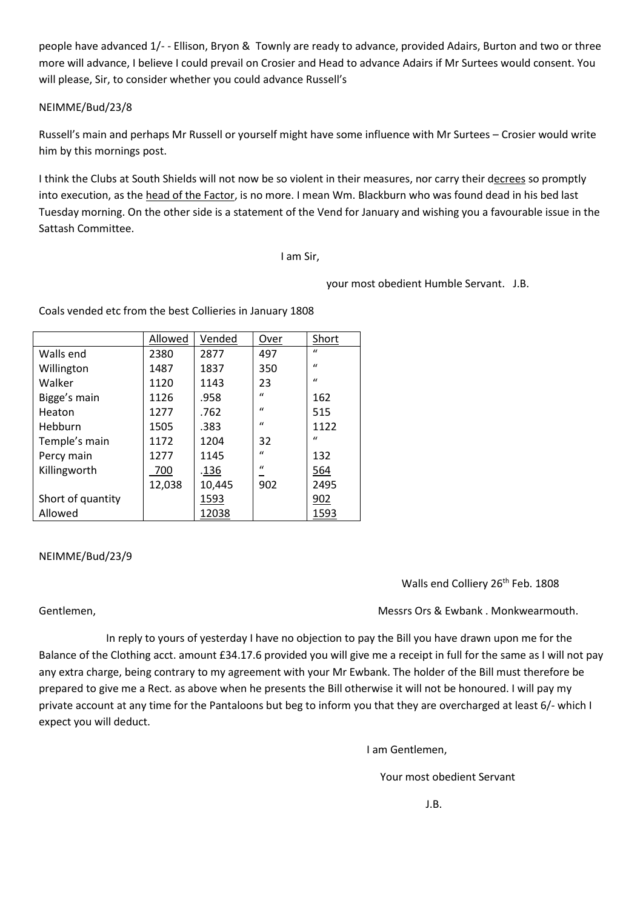people have advanced 1/- - Ellison, Bryon & Townly are ready to advance, provided Adairs, Burton and two or three more will advance, I believe I could prevail on Crosier and Head to advance Adairs if Mr Surtees would consent. You will please, Sir, to consider whether you could advance Russell's

# NEIMME/Bud/23/8

Russell's main and perhaps Mr Russell or yourself might have some influence with Mr Surtees – Crosier would write him by this mornings post.

I think the Clubs at South Shields will not now be so violent in their measures, nor carry their decrees so promptly into execution, as the head of the Factor, is no more. I mean Wm. Blackburn who was found dead in his bed last Tuesday morning. On the other side is a statement of the Vend for January and wishing you a favourable issue in the Sattash Committee.

## I am Sir,

your most obedient Humble Servant. J.B.

|                   | Allowed | Vended | Over         | Short        |
|-------------------|---------|--------|--------------|--------------|
| Walls end         | 2380    | 2877   | 497          | $\mathbf{u}$ |
| Willington        | 1487    | 1837   | 350          | $\mathbf{u}$ |
| Walker            | 1120    | 1143   | 23           | $\mathbf{u}$ |
| Bigge's main      | 1126    | .958   | $\mathbf{u}$ | 162          |
| Heaton            | 1277    | .762   | $\mathbf{u}$ | 515          |
| Hebburn           | 1505    | .383   | $\mathbf{u}$ | 1122         |
| Temple's main     | 1172    | 1204   | 32           | $\mathbf{u}$ |
| Percy main        | 1277    | 1145   | $\mathbf{u}$ | 132          |
| Killingworth      | 700     | .136   | $\mathbf{u}$ | 564          |
|                   | 12,038  | 10,445 | 902          | 2495         |
| Short of quantity |         | 1593   |              | 902          |
| Allowed           |         | 12038  |              | 1593         |

Coals vended etc from the best Collieries in January 1808

NEIMME/Bud/23/9

Walls end Colliery 26<sup>th</sup> Feb. 1808

Gentlemen, Gentlemen, Gentlemen, Gentlemen, Gentlemen, Gentlemen, Gentlemen, Gentlemen, Gentlemen, Gentlemen, G

 In reply to yours of yesterday I have no objection to pay the Bill you have drawn upon me for the Balance of the Clothing acct. amount £34.17.6 provided you will give me a receipt in full for the same as I will not pay any extra charge, being contrary to my agreement with your Mr Ewbank. The holder of the Bill must therefore be prepared to give me a Rect. as above when he presents the Bill otherwise it will not be honoured. I will pay my private account at any time for the Pantaloons but beg to inform you that they are overcharged at least 6/- which I expect you will deduct.

I am Gentlemen,

Your most obedient Servant

J.B.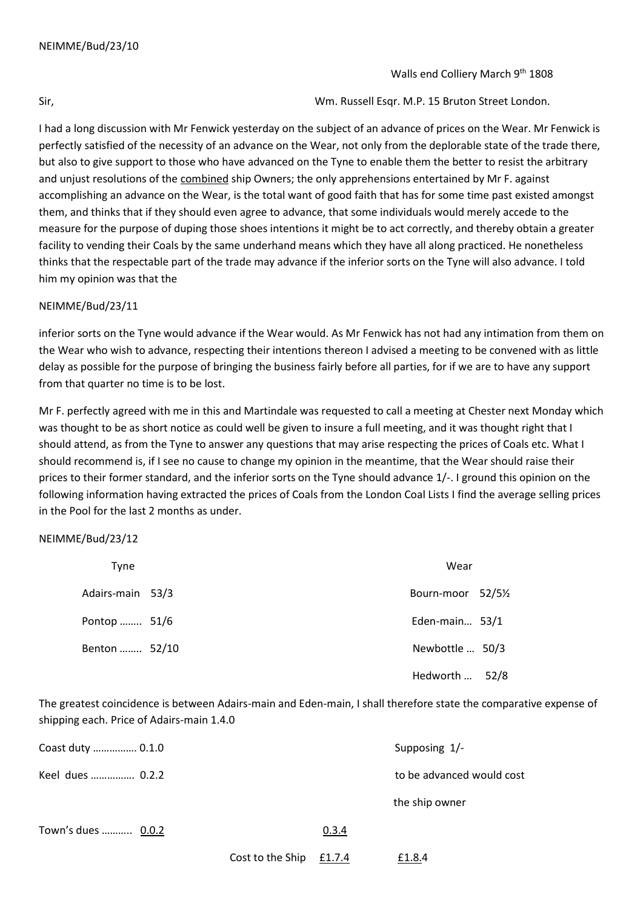Sir, Wm. Russell Esqr. M.P. 15 Bruton Street London.

I had a long discussion with Mr Fenwick yesterday on the subject of an advance of prices on the Wear. Mr Fenwick is perfectly satisfied of the necessity of an advance on the Wear, not only from the deplorable state of the trade there, but also to give support to those who have advanced on the Tyne to enable them the better to resist the arbitrary and unjust resolutions of the combined ship Owners; the only apprehensions entertained by Mr F. against accomplishing an advance on the Wear, is the total want of good faith that has for some time past existed amongst them, and thinks that if they should even agree to advance, that some individuals would merely accede to the measure for the purpose of duping those shoes intentions it might be to act correctly, and thereby obtain a greater facility to vending their Coals by the same underhand means which they have all along practiced. He nonetheless thinks that the respectable part of the trade may advance if the inferior sorts on the Tyne will also advance. I told him my opinion was that the

## NEIMME/Bud/23/11

inferior sorts on the Tyne would advance if the Wear would. As Mr Fenwick has not had any intimation from them on the Wear who wish to advance, respecting their intentions thereon I advised a meeting to be convened with as little delay as possible for the purpose of bringing the business fairly before all parties, for if we are to have any support from that quarter no time is to be lost.

Mr F. perfectly agreed with me in this and Martindale was requested to call a meeting at Chester next Monday which was thought to be as short notice as could well be given to insure a full meeting, and it was thought right that I should attend, as from the Tyne to answer any questions that may arise respecting the prices of Coals etc. What I should recommend is, if I see no cause to change my opinion in the meantime, that the Wear should raise their prices to their former standard, and the inferior sorts on the Tyne should advance 1/-. I ground this opinion on the following information having extracted the prices of Coals from the London Coal Lists I find the average selling prices in the Pool for the last 2 months as under.

### NEIMME/Bud/23/12

| Tyne             | Wear             |      |
|------------------|------------------|------|
| Adairs-main 53/3 | Bourn-moor 52/5½ |      |
| Pontop  51/6     | Eden-main 53/1   |      |
| Benton  52/10    | Newbottle  50/3  |      |
|                  | Hedworth         | 52/8 |

The greatest coincidence is between Adairs-main and Eden-main, I shall therefore state the comparative expense of shipping each. Price of Adairs-main 1.4.0

| Coast duty  0.1.0  |                  |        | Supposing 1/-             |
|--------------------|------------------|--------|---------------------------|
| Keel dues  0.2.2   |                  |        | to be advanced would cost |
|                    |                  |        | the ship owner            |
| Town's dues  0.0.2 |                  | 0.3.4  |                           |
|                    | Cost to the Ship | £1.7.4 | £1.8.4                    |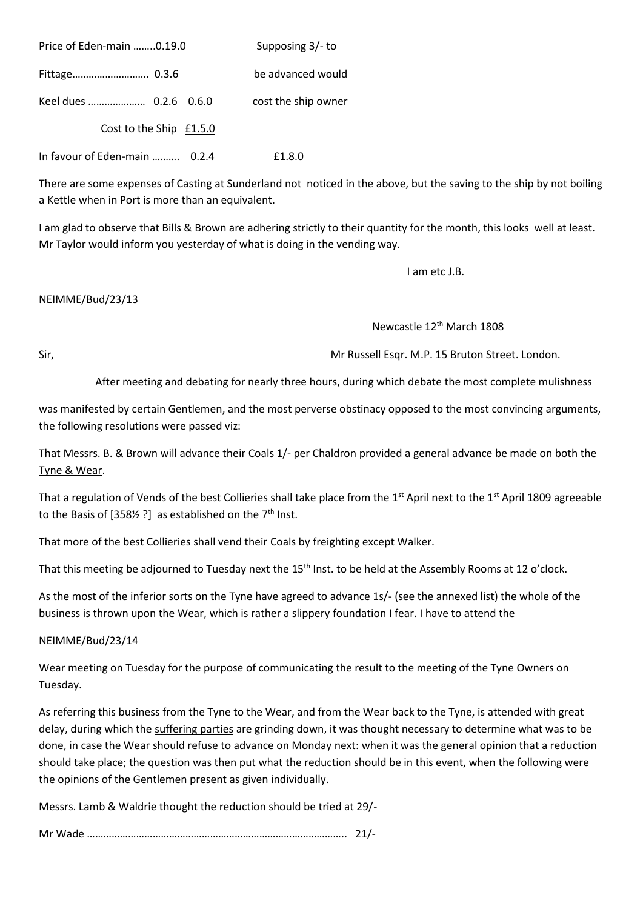| Price of Eden-main 0.19.0     | Supposing 3/- to    |
|-------------------------------|---------------------|
|                               | be advanced would   |
|                               | cost the ship owner |
| Cost to the Ship £1.5.0       |                     |
| In favour of Eden-main  0.2.4 | £1.8.0              |

There are some expenses of Casting at Sunderland not noticed in the above, but the saving to the ship by not boiling a Kettle when in Port is more than an equivalent.

I am glad to observe that Bills & Brown are adhering strictly to their quantity for the month, this looks well at least. Mr Taylor would inform you yesterday of what is doing in the vending way.

I am etc J.B.

## NEIMME/Bud/23/13

Newcastle 12th March 1808

Sir, Mr Russell Esqr. M.P. 15 Bruton Street. London.

After meeting and debating for nearly three hours, during which debate the most complete mulishness

was manifested by certain Gentlemen, and the most perverse obstinacy opposed to the most convincing arguments, the following resolutions were passed viz:

That Messrs. B. & Brown will advance their Coals 1/- per Chaldron provided a general advance be made on both the Tyne & Wear.

That a regulation of Vends of the best Collieries shall take place from the 1<sup>st</sup> April next to the 1<sup>st</sup> April 1809 agreeable to the Basis of [358½ ?] as established on the  $7<sup>th</sup>$  Inst.

That more of the best Collieries shall vend their Coals by freighting except Walker.

That this meeting be adjourned to Tuesday next the 15<sup>th</sup> Inst. to be held at the Assembly Rooms at 12 o'clock.

As the most of the inferior sorts on the Tyne have agreed to advance 1s/- (see the annexed list) the whole of the business is thrown upon the Wear, which is rather a slippery foundation I fear. I have to attend the

NEIMME/Bud/23/14

Wear meeting on Tuesday for the purpose of communicating the result to the meeting of the Tyne Owners on Tuesday.

As referring this business from the Tyne to the Wear, and from the Wear back to the Tyne, is attended with great delay, during which the suffering parties are grinding down, it was thought necessary to determine what was to be done, in case the Wear should refuse to advance on Monday next: when it was the general opinion that a reduction should take place; the question was then put what the reduction should be in this event, when the following were the opinions of the Gentlemen present as given individually.

Messrs. Lamb & Waldrie thought the reduction should be tried at 29/-

Mr Wade ………………………………………………………………………………….. 21/-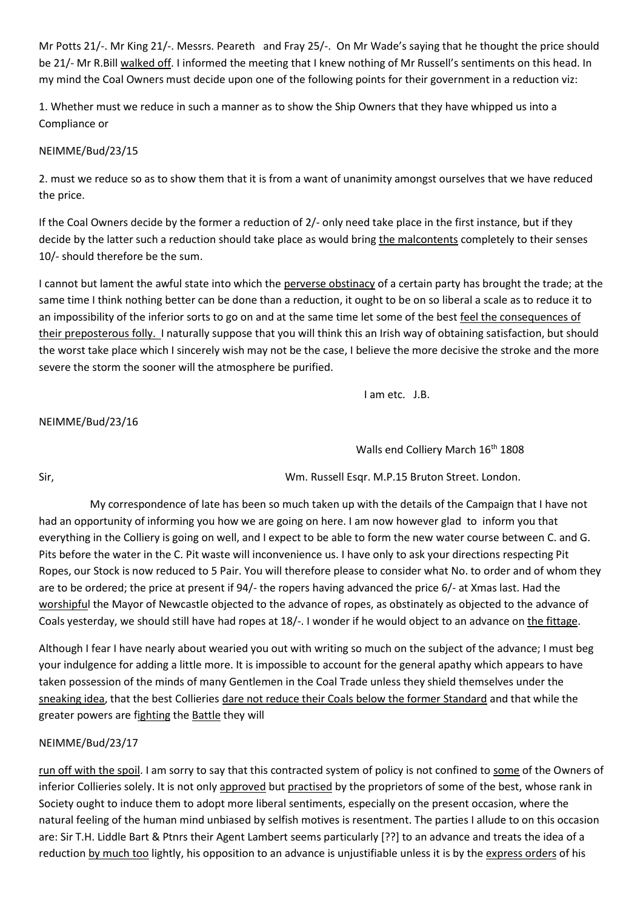Mr Potts 21/-. Mr King 21/-. Messrs. Peareth and Fray 25/-. On Mr Wade's saying that he thought the price should be 21/- Mr R.Bill walked off. I informed the meeting that I knew nothing of Mr Russell's sentiments on this head. In my mind the Coal Owners must decide upon one of the following points for their government in a reduction viz:

1. Whether must we reduce in such a manner as to show the Ship Owners that they have whipped us into a Compliance or

NEIMME/Bud/23/15

2. must we reduce so as to show them that it is from a want of unanimity amongst ourselves that we have reduced the price.

If the Coal Owners decide by the former a reduction of 2/- only need take place in the first instance, but if they decide by the latter such a reduction should take place as would bring the malcontents completely to their senses 10/- should therefore be the sum.

I cannot but lament the awful state into which the perverse obstinacy of a certain party has brought the trade; at the same time I think nothing better can be done than a reduction, it ought to be on so liberal a scale as to reduce it to an impossibility of the inferior sorts to go on and at the same time let some of the best feel the consequences of their preposterous folly. I naturally suppose that you will think this an Irish way of obtaining satisfaction, but should the worst take place which I sincerely wish may not be the case, I believe the more decisive the stroke and the more severe the storm the sooner will the atmosphere be purified.

I am etc. J.B.

# NEIMME/Bud/23/16

Walls end Colliery March 16<sup>th</sup> 1808

Sir, Wm. Russell Esqr. M.P.15 Bruton Street. London.

 My correspondence of late has been so much taken up with the details of the Campaign that I have not had an opportunity of informing you how we are going on here. I am now however glad to inform you that everything in the Colliery is going on well, and I expect to be able to form the new water course between C. and G. Pits before the water in the C. Pit waste will inconvenience us. I have only to ask your directions respecting Pit Ropes, our Stock is now reduced to 5 Pair. You will therefore please to consider what No. to order and of whom they are to be ordered; the price at present if 94/- the ropers having advanced the price 6/- at Xmas last. Had the worshipful the Mayor of Newcastle objected to the advance of ropes, as obstinately as objected to the advance of Coals yesterday, we should still have had ropes at 18/-. I wonder if he would object to an advance on the fittage.

Although I fear I have nearly about wearied you out with writing so much on the subject of the advance; I must beg your indulgence for adding a little more. It is impossible to account for the general apathy which appears to have taken possession of the minds of many Gentlemen in the Coal Trade unless they shield themselves under the sneaking idea, that the best Collieries dare not reduce their Coals below the former Standard and that while the greater powers are fighting the Battle they will

# NEIMME/Bud/23/17

run off with the spoil. I am sorry to say that this contracted system of policy is not confined to some of the Owners of inferior Collieries solely. It is not only approved but practised by the proprietors of some of the best, whose rank in Society ought to induce them to adopt more liberal sentiments, especially on the present occasion, where the natural feeling of the human mind unbiased by selfish motives is resentment. The parties I allude to on this occasion are: Sir T.H. Liddle Bart & Ptnrs their Agent Lambert seems particularly [??] to an advance and treats the idea of a reduction by much too lightly, his opposition to an advance is unjustifiable unless it is by the express orders of his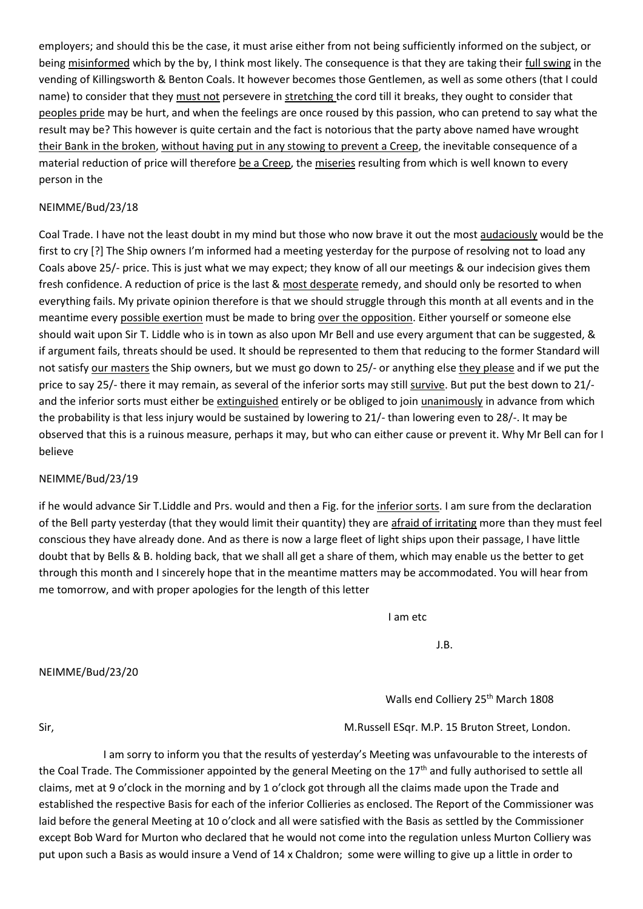employers; and should this be the case, it must arise either from not being sufficiently informed on the subject, or being misinformed which by the by, I think most likely. The consequence is that they are taking their full swing in the vending of Killingsworth & Benton Coals. It however becomes those Gentlemen, as well as some others (that I could name) to consider that they must not persevere in stretching the cord till it breaks, they ought to consider that peoples pride may be hurt, and when the feelings are once roused by this passion, who can pretend to say what the result may be? This however is quite certain and the fact is notorious that the party above named have wrought their Bank in the broken, without having put in any stowing to prevent a Creep, the inevitable consequence of a material reduction of price will therefore be a Creep, the miseries resulting from which is well known to every person in the

# NEIMME/Bud/23/18

Coal Trade. I have not the least doubt in my mind but those who now brave it out the most audaciously would be the first to cry [?] The Ship owners I'm informed had a meeting yesterday for the purpose of resolving not to load any Coals above 25/- price. This is just what we may expect; they know of all our meetings & our indecision gives them fresh confidence. A reduction of price is the last & most desperate remedy, and should only be resorted to when everything fails. My private opinion therefore is that we should struggle through this month at all events and in the meantime every possible exertion must be made to bring over the opposition. Either yourself or someone else should wait upon Sir T. Liddle who is in town as also upon Mr Bell and use every argument that can be suggested, & if argument fails, threats should be used. It should be represented to them that reducing to the former Standard will not satisfy our masters the Ship owners, but we must go down to 25/- or anything else they please and if we put the price to say 25/- there it may remain, as several of the inferior sorts may still survive. But put the best down to 21/ and the inferior sorts must either be extinguished entirely or be obliged to join unanimously in advance from which the probability is that less injury would be sustained by lowering to 21/- than lowering even to 28/-. It may be observed that this is a ruinous measure, perhaps it may, but who can either cause or prevent it. Why Mr Bell can for I believe

# NEIMME/Bud/23/19

if he would advance Sir T.Liddle and Prs. would and then a Fig. for the inferior sorts. I am sure from the declaration of the Bell party yesterday (that they would limit their quantity) they are afraid of irritating more than they must feel conscious they have already done. And as there is now a large fleet of light ships upon their passage, I have little doubt that by Bells & B. holding back, that we shall all get a share of them, which may enable us the better to get through this month and I sincerely hope that in the meantime matters may be accommodated. You will hear from me tomorrow, and with proper apologies for the length of this letter

I am etc

J.B.

### NEIMME/Bud/23/20

Walls end Colliery 25<sup>th</sup> March 1808

Sir, M.Russell ESqr. M.P. 15 Bruton Street, London.

 I am sorry to inform you that the results of yesterday's Meeting was unfavourable to the interests of the Coal Trade. The Commissioner appointed by the general Meeting on the  $17<sup>th</sup>$  and fully authorised to settle all claims, met at 9 o'clock in the morning and by 1 o'clock got through all the claims made upon the Trade and established the respective Basis for each of the inferior Collieries as enclosed. The Report of the Commissioner was laid before the general Meeting at 10 o'clock and all were satisfied with the Basis as settled by the Commissioner except Bob Ward for Murton who declared that he would not come into the regulation unless Murton Colliery was put upon such a Basis as would insure a Vend of 14 x Chaldron; some were willing to give up a little in order to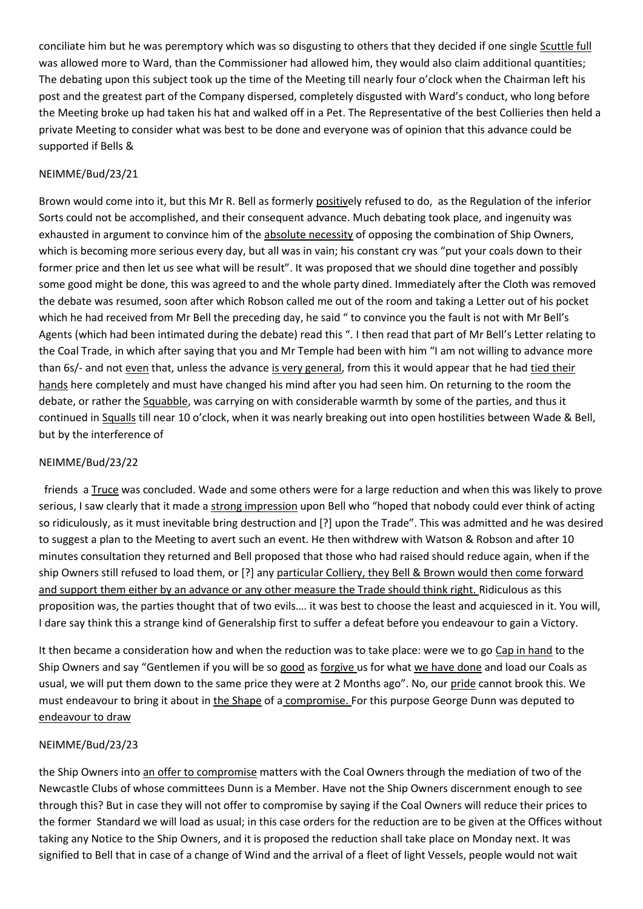conciliate him but he was peremptory which was so disgusting to others that they decided if one single Scuttle full was allowed more to Ward, than the Commissioner had allowed him, they would also claim additional quantities; The debating upon this subject took up the time of the Meeting till nearly four o'clock when the Chairman left his post and the greatest part of the Company dispersed, completely disgusted with Ward's conduct, who long before the Meeting broke up had taken his hat and walked off in a Pet. The Representative of the best Collieries then held a private Meeting to consider what was best to be done and everyone was of opinion that this advance could be supported if Bells &

# NEIMME/Bud/23/21

Brown would come into it, but this Mr R. Bell as formerly positively refused to do, as the Regulation of the inferior Sorts could not be accomplished, and their consequent advance. Much debating took place, and ingenuity was exhausted in argument to convince him of the absolute necessity of opposing the combination of Ship Owners, which is becoming more serious every day, but all was in vain; his constant cry was "put your coals down to their former price and then let us see what will be result". It was proposed that we should dine together and possibly some good might be done, this was agreed to and the whole party dined. Immediately after the Cloth was removed the debate was resumed, soon after which Robson called me out of the room and taking a Letter out of his pocket which he had received from Mr Bell the preceding day, he said " to convince you the fault is not with Mr Bell's Agents (which had been intimated during the debate) read this ". I then read that part of Mr Bell's Letter relating to the Coal Trade, in which after saying that you and Mr Temple had been with him "I am not willing to advance more than 6s/- and not even that, unless the advance is very general, from this it would appear that he had tied their hands here completely and must have changed his mind after you had seen him. On returning to the room the debate, or rather the Squabble, was carrying on with considerable warmth by some of the parties, and thus it continued in Squalls till near 10 o'clock, when it was nearly breaking out into open hostilities between Wade & Bell, but by the interference of

# NEIMME/Bud/23/22

friends a Truce was concluded. Wade and some others were for a large reduction and when this was likely to prove serious, I saw clearly that it made a strong impression upon Bell who "hoped that nobody could ever think of acting so ridiculously, as it must inevitable bring destruction and [?] upon the Trade". This was admitted and he was desired to suggest a plan to the Meeting to avert such an event. He then withdrew with Watson & Robson and after 10 minutes consultation they returned and Bell proposed that those who had raised should reduce again, when if the ship Owners still refused to load them, or [?] any particular Colliery, they Bell & Brown would then come forward and support them either by an advance or any other measure the Trade should think right. Ridiculous as this proposition was, the parties thought that of two evils…. it was best to choose the least and acquiesced in it. You will, I dare say think this a strange kind of Generalship first to suffer a defeat before you endeavour to gain a Victory.

It then became a consideration how and when the reduction was to take place: were we to go Cap in hand to the Ship Owners and say "Gentlemen if you will be so good as forgive us for what we have done and load our Coals as usual, we will put them down to the same price they were at 2 Months ago". No, our pride cannot brook this. We must endeavour to bring it about in the Shape of a compromise. For this purpose George Dunn was deputed to endeavour to draw

# NEIMME/Bud/23/23

the Ship Owners into an offer to compromise matters with the Coal Owners through the mediation of two of the Newcastle Clubs of whose committees Dunn is a Member. Have not the Ship Owners discernment enough to see through this? But in case they will not offer to compromise by saying if the Coal Owners will reduce their prices to the former Standard we will load as usual; in this case orders for the reduction are to be given at the Offices without taking any Notice to the Ship Owners, and it is proposed the reduction shall take place on Monday next. It was signified to Bell that in case of a change of Wind and the arrival of a fleet of light Vessels, people would not wait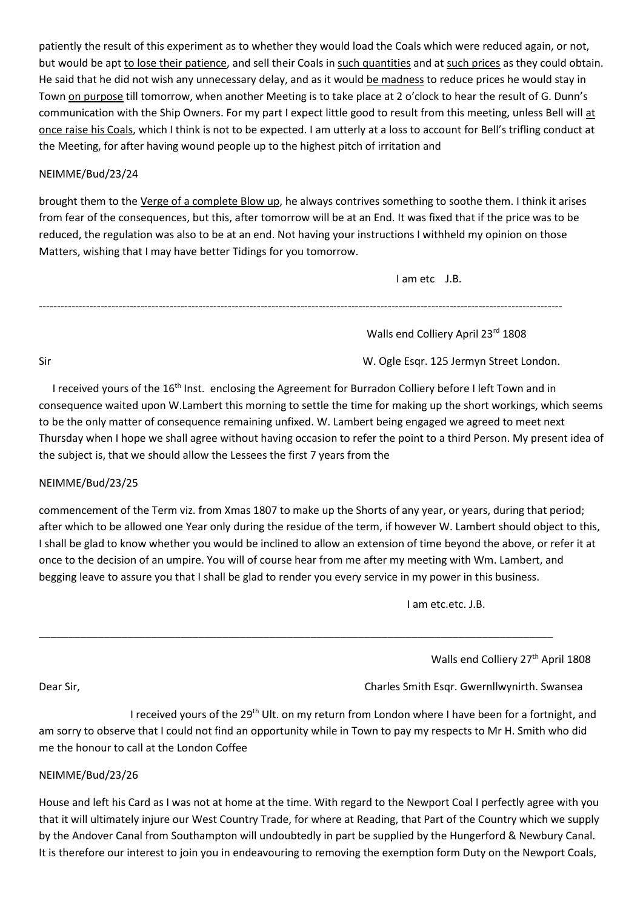patiently the result of this experiment as to whether they would load the Coals which were reduced again, or not, but would be apt to lose their patience, and sell their Coals in such quantities and at such prices as they could obtain. He said that he did not wish any unnecessary delay, and as it would be madness to reduce prices he would stay in Town on purpose till tomorrow, when another Meeting is to take place at 2 o'clock to hear the result of G. Dunn's communication with the Ship Owners. For my part I expect little good to result from this meeting, unless Bell will at once raise his Coals, which I think is not to be expected. I am utterly at a loss to account for Bell's trifling conduct at the Meeting, for after having wound people up to the highest pitch of irritation and

## NEIMME/Bud/23/24

brought them to the Verge of a complete Blow up, he always contrives something to soothe them. I think it arises from fear of the consequences, but this, after tomorrow will be at an End. It was fixed that if the price was to be reduced, the regulation was also to be at an end. Not having your instructions I withheld my opinion on those Matters, wishing that I may have better Tidings for you tomorrow.

I am etc J.B.

------------------------------------------------------------------------------------------------------------------------------------------------

Walls end Colliery April 23rd 1808

Sir W. Ogle Esqr. 125 Jermyn Street London.

I received yours of the 16<sup>th</sup> Inst. enclosing the Agreement for Burradon Colliery before I left Town and in consequence waited upon W.Lambert this morning to settle the time for making up the short workings, which seems to be the only matter of consequence remaining unfixed. W. Lambert being engaged we agreed to meet next Thursday when I hope we shall agree without having occasion to refer the point to a third Person. My present idea of the subject is, that we should allow the Lessees the first 7 years from the

### NEIMME/Bud/23/25

commencement of the Term viz. from Xmas 1807 to make up the Shorts of any year, or years, during that period; after which to be allowed one Year only during the residue of the term, if however W. Lambert should object to this, I shall be glad to know whether you would be inclined to allow an extension of time beyond the above, or refer it at once to the decision of an umpire. You will of course hear from me after my meeting with Wm. Lambert, and begging leave to assure you that I shall be glad to render you every service in my power in this business.

\_\_\_\_\_\_\_\_\_\_\_\_\_\_\_\_\_\_\_\_\_\_\_\_\_\_\_\_\_\_\_\_\_\_\_\_\_\_\_\_\_\_\_\_\_\_\_\_\_\_\_\_\_\_\_\_\_\_\_\_\_\_\_\_\_\_\_\_\_\_\_\_\_\_\_\_\_\_\_\_\_\_\_\_\_\_\_

I am etc.etc. J.B.

Walls end Colliery 27<sup>th</sup> April 1808

Dear Sir, Charles Smith Esqr. Gwernllwynirth. Swansea

I received yours of the 29<sup>th</sup> Ult. on my return from London where I have been for a fortnight, and am sorry to observe that I could not find an opportunity while in Town to pay my respects to Mr H. Smith who did me the honour to call at the London Coffee

### NEIMME/Bud/23/26

House and left his Card as I was not at home at the time. With regard to the Newport Coal I perfectly agree with you that it will ultimately injure our West Country Trade, for where at Reading, that Part of the Country which we supply by the Andover Canal from Southampton will undoubtedly in part be supplied by the Hungerford & Newbury Canal. It is therefore our interest to join you in endeavouring to removing the exemption form Duty on the Newport Coals,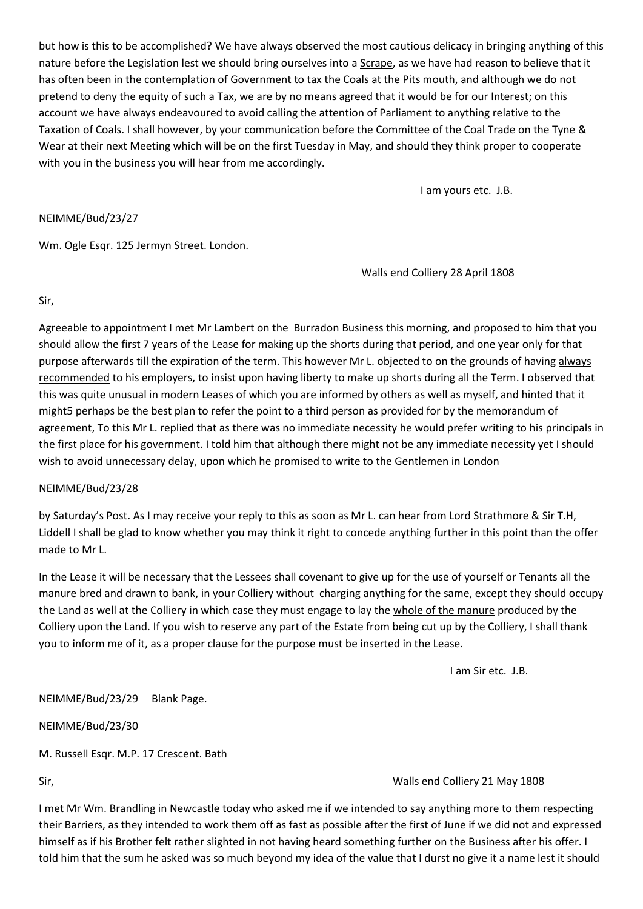but how is this to be accomplished? We have always observed the most cautious delicacy in bringing anything of this nature before the Legislation lest we should bring ourselves into a Scrape, as we have had reason to believe that it has often been in the contemplation of Government to tax the Coals at the Pits mouth, and although we do not pretend to deny the equity of such a Tax, we are by no means agreed that it would be for our Interest; on this account we have always endeavoured to avoid calling the attention of Parliament to anything relative to the Taxation of Coals. I shall however, by your communication before the Committee of the Coal Trade on the Tyne & Wear at their next Meeting which will be on the first Tuesday in May, and should they think proper to cooperate with you in the business you will hear from me accordingly.

I am yours etc. J.B.

### NEIMME/Bud/23/27

Wm. Ogle Esqr. 125 Jermyn Street. London.

Walls end Colliery 28 April 1808

Sir,

Agreeable to appointment I met Mr Lambert on the Burradon Business this morning, and proposed to him that you should allow the first 7 years of the Lease for making up the shorts during that period, and one year only for that purpose afterwards till the expiration of the term. This however Mr L. objected to on the grounds of having always recommended to his employers, to insist upon having liberty to make up shorts during all the Term. I observed that this was quite unusual in modern Leases of which you are informed by others as well as myself, and hinted that it might5 perhaps be the best plan to refer the point to a third person as provided for by the memorandum of agreement, To this Mr L. replied that as there was no immediate necessity he would prefer writing to his principals in the first place for his government. I told him that although there might not be any immediate necessity yet I should wish to avoid unnecessary delay, upon which he promised to write to the Gentlemen in London

### NEIMME/Bud/23/28

by Saturday's Post. As I may receive your reply to this as soon as Mr L. can hear from Lord Strathmore & Sir T.H, Liddell I shall be glad to know whether you may think it right to concede anything further in this point than the offer made to Mr L.

In the Lease it will be necessary that the Lessees shall covenant to give up for the use of yourself or Tenants all the manure bred and drawn to bank, in your Colliery without charging anything for the same, except they should occupy the Land as well at the Colliery in which case they must engage to lay the whole of the manure produced by the Colliery upon the Land. If you wish to reserve any part of the Estate from being cut up by the Colliery, I shall thank you to inform me of it, as a proper clause for the purpose must be inserted in the Lease.

I am Sir etc. J.B.

NEIMME/Bud/23/29 Blank Page.

NEIMME/Bud/23/30

M. Russell Esqr. M.P. 17 Crescent. Bath

Sir, Walls end Colliery 21 May 1808

I met Mr Wm. Brandling in Newcastle today who asked me if we intended to say anything more to them respecting their Barriers, as they intended to work them off as fast as possible after the first of June if we did not and expressed himself as if his Brother felt rather slighted in not having heard something further on the Business after his offer. I told him that the sum he asked was so much beyond my idea of the value that I durst no give it a name lest it should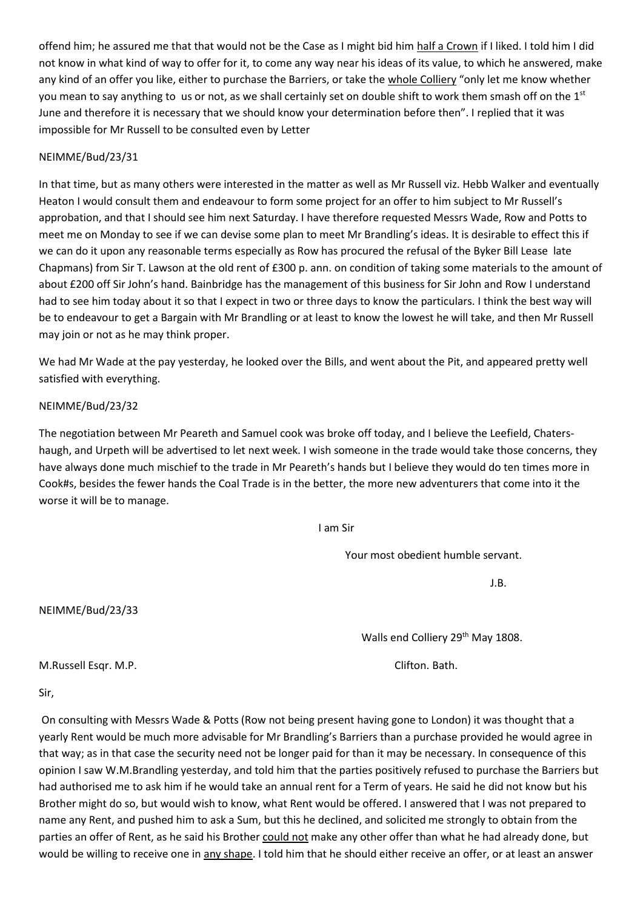offend him; he assured me that that would not be the Case as I might bid him half a Crown if I liked. I told him I did not know in what kind of way to offer for it, to come any way near his ideas of its value, to which he answered, make any kind of an offer you like, either to purchase the Barriers, or take the whole Colliery "only let me know whether you mean to say anything to us or not, as we shall certainly set on double shift to work them smash off on the 1st June and therefore it is necessary that we should know your determination before then". I replied that it was impossible for Mr Russell to be consulted even by Letter

## NEIMME/Bud/23/31

In that time, but as many others were interested in the matter as well as Mr Russell viz. Hebb Walker and eventually Heaton I would consult them and endeavour to form some project for an offer to him subject to Mr Russell's approbation, and that I should see him next Saturday. I have therefore requested Messrs Wade, Row and Potts to meet me on Monday to see if we can devise some plan to meet Mr Brandling's ideas. It is desirable to effect this if we can do it upon any reasonable terms especially as Row has procured the refusal of the Byker Bill Lease late Chapmans) from Sir T. Lawson at the old rent of £300 p. ann. on condition of taking some materials to the amount of about £200 off Sir John's hand. Bainbridge has the management of this business for Sir John and Row I understand had to see him today about it so that I expect in two or three days to know the particulars. I think the best way will be to endeavour to get a Bargain with Mr Brandling or at least to know the lowest he will take, and then Mr Russell may join or not as he may think proper.

We had Mr Wade at the pay yesterday, he looked over the Bills, and went about the Pit, and appeared pretty well satisfied with everything.

## NEIMME/Bud/23/32

The negotiation between Mr Peareth and Samuel cook was broke off today, and I believe the Leefield, Chatershaugh, and Urpeth will be advertised to let next week. I wish someone in the trade would take those concerns, they have always done much mischief to the trade in Mr Peareth's hands but I believe they would do ten times more in Cook#s, besides the fewer hands the Coal Trade is in the better, the more new adventurers that come into it the worse it will be to manage.

I am Sir

Your most obedient humble servant.

J.B.

Walls end Colliery 29<sup>th</sup> May 1808.

M.Russell Esqr. M.P. Clifton. Bath.

NEIMME/Bud/23/33

Sir,

On consulting with Messrs Wade & Potts (Row not being present having gone to London) it was thought that a yearly Rent would be much more advisable for Mr Brandling's Barriers than a purchase provided he would agree in that way; as in that case the security need not be longer paid for than it may be necessary. In consequence of this opinion I saw W.M.Brandling yesterday, and told him that the parties positively refused to purchase the Barriers but had authorised me to ask him if he would take an annual rent for a Term of years. He said he did not know but his Brother might do so, but would wish to know, what Rent would be offered. I answered that I was not prepared to name any Rent, and pushed him to ask a Sum, but this he declined, and solicited me strongly to obtain from the parties an offer of Rent, as he said his Brother could not make any other offer than what he had already done, but would be willing to receive one in any shape. I told him that he should either receive an offer, or at least an answer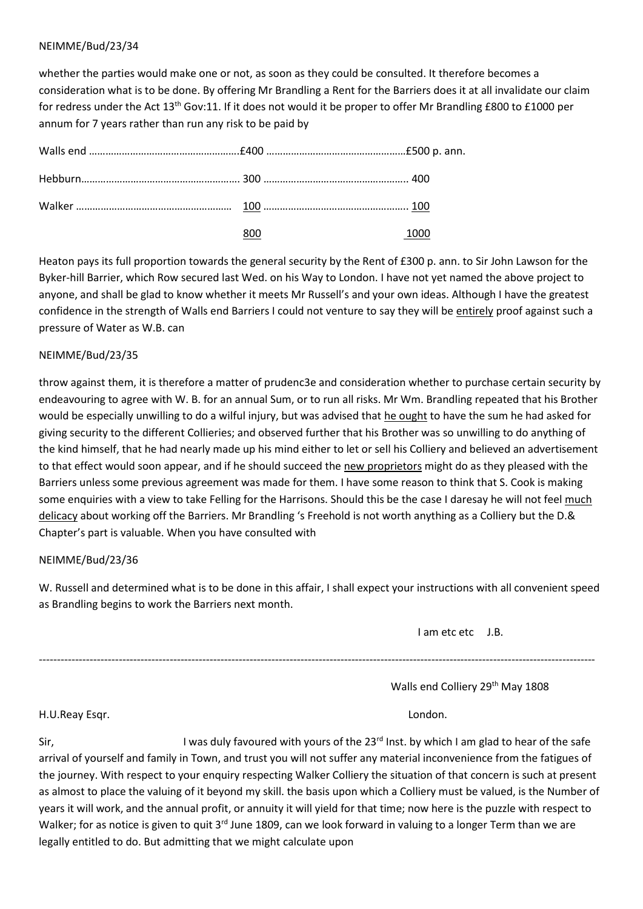whether the parties would make one or not, as soon as they could be consulted. It therefore becomes a consideration what is to be done. By offering Mr Brandling a Rent for the Barriers does it at all invalidate our claim for redress under the Act 13<sup>th</sup> Gov:11. If it does not would it be proper to offer Mr Brandling £800 to £1000 per annum for 7 years rather than run any risk to be paid by

| 800 | 1000 |
|-----|------|

Heaton pays its full proportion towards the general security by the Rent of £300 p. ann. to Sir John Lawson for the Byker-hill Barrier, which Row secured last Wed. on his Way to London. I have not yet named the above project to anyone, and shall be glad to know whether it meets Mr Russell's and your own ideas. Although I have the greatest confidence in the strength of Walls end Barriers I could not venture to say they will be entirely proof against such a pressure of Water as W.B. can

# NEIMME/Bud/23/35

throw against them, it is therefore a matter of prudenc3e and consideration whether to purchase certain security by endeavouring to agree with W. B. for an annual Sum, or to run all risks. Mr Wm. Brandling repeated that his Brother would be especially unwilling to do a wilful injury, but was advised that he ought to have the sum he had asked for giving security to the different Collieries; and observed further that his Brother was so unwilling to do anything of the kind himself, that he had nearly made up his mind either to let or sell his Colliery and believed an advertisement to that effect would soon appear, and if he should succeed the new proprietors might do as they pleased with the Barriers unless some previous agreement was made for them. I have some reason to think that S. Cook is making some enquiries with a view to take Felling for the Harrisons. Should this be the case I daresay he will not feel much delicacy about working off the Barriers. Mr Brandling 's Freehold is not worth anything as a Colliery but the D.& Chapter's part is valuable. When you have consulted with

# NEIMME/Bud/23/36

W. Russell and determined what is to be done in this affair, I shall expect your instructions with all convenient speed as Brandling begins to work the Barriers next month.

---------------------------------------------------------------------------------------------------------------------------------------------------------

I am etc etc J.B.

Walls end Colliery 29<sup>th</sup> May 1808

H.U.Reay Esqr. London.

Sir, Sir, Superson the assumed with yours of the 23<sup>rd</sup> Inst. by which I am glad to hear of the safe arrival of yourself and family in Town, and trust you will not suffer any material inconvenience from the fatigues of the journey. With respect to your enquiry respecting Walker Colliery the situation of that concern is such at present as almost to place the valuing of it beyond my skill. the basis upon which a Colliery must be valued, is the Number of years it will work, and the annual profit, or annuity it will yield for that time; now here is the puzzle with respect to Walker; for as notice is given to quit 3<sup>rd</sup> June 1809, can we look forward in valuing to a longer Term than we are legally entitled to do. But admitting that we might calculate upon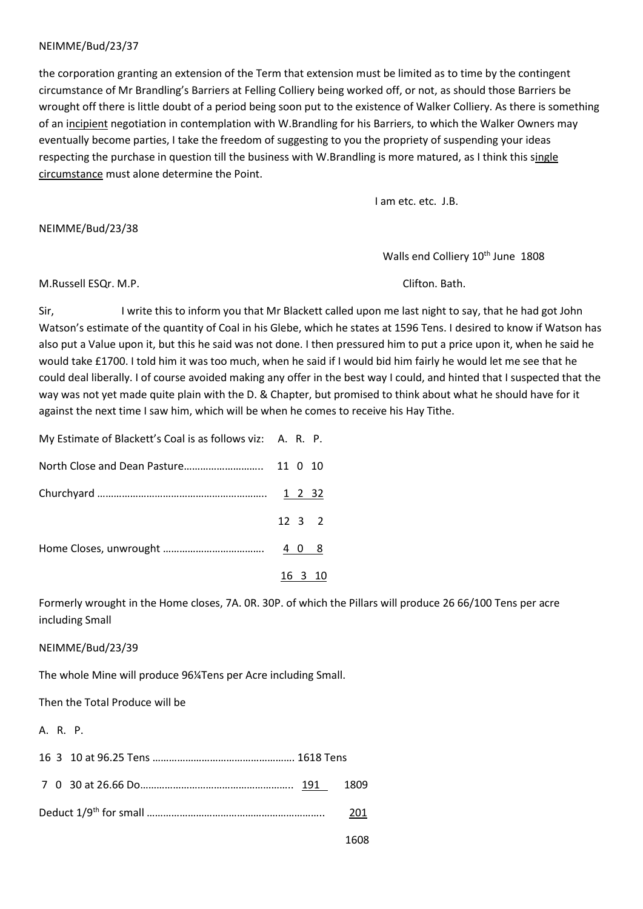the corporation granting an extension of the Term that extension must be limited as to time by the contingent circumstance of Mr Brandling's Barriers at Felling Colliery being worked off, or not, as should those Barriers be wrought off there is little doubt of a period being soon put to the existence of Walker Colliery. As there is something of an incipient negotiation in contemplation with W.Brandling for his Barriers, to which the Walker Owners may eventually become parties, I take the freedom of suggesting to you the propriety of suspending your ideas respecting the purchase in question till the business with W.Brandling is more matured, as I think this single circumstance must alone determine the Point.

I am etc. etc. J.B.

NEIMME/Bud/23/38

Walls end Colliery 10<sup>th</sup> June 1808

M.Russell ESQr. M.P. Clifton. Bath.

Sir, I write this to inform you that Mr Blackett called upon me last night to say, that he had got John Watson's estimate of the quantity of Coal in his Glebe, which he states at 1596 Tens. I desired to know if Watson has also put a Value upon it, but this he said was not done. I then pressured him to put a price upon it, when he said he would take £1700. I told him it was too much, when he said if I would bid him fairly he would let me see that he could deal liberally. I of course avoided making any offer in the best way I could, and hinted that I suspected that the way was not yet made quite plain with the D. & Chapter, but promised to think about what he should have for it against the next time I saw him, which will be when he comes to receive his Hay Tithe.

| My Estimate of Blackett's Coal is as follows viz: A. R. P. |  |                |
|------------------------------------------------------------|--|----------------|
|                                                            |  |                |
|                                                            |  |                |
|                                                            |  | $12$ 3 2       |
|                                                            |  |                |
|                                                            |  | <u>16 3 10</u> |

Formerly wrought in the Home closes, 7A. 0R. 30P. of which the Pillars will produce 26 66/100 Tens per acre including Small

NEIMME/Bud/23/39

The whole Mine will produce 96¼Tens per Acre including Small.

Then the Total Produce will be

A. R. P.

|  | 201 |
|--|-----|

1608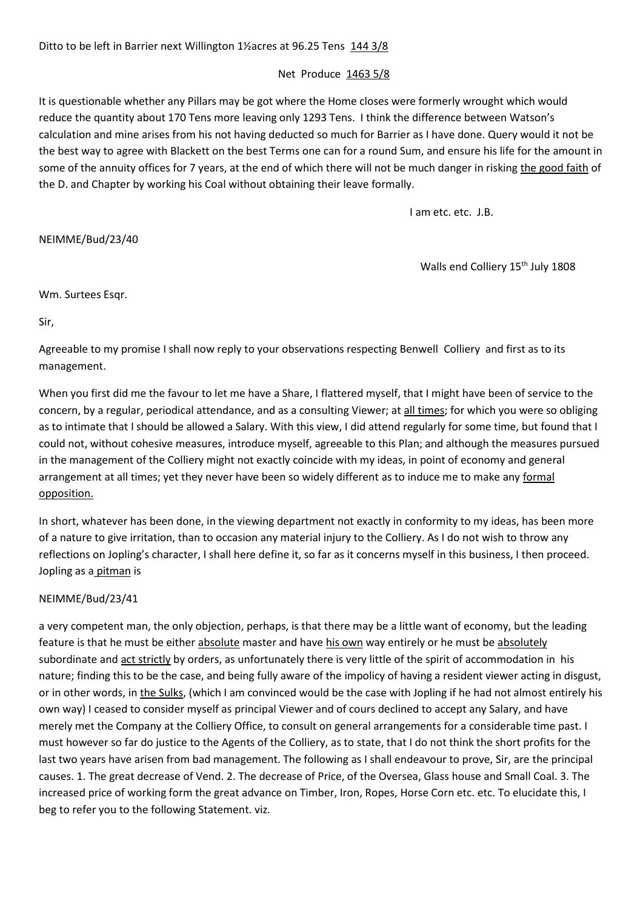### Net Produce 1463 5/8

It is questionable whether any Pillars may be got where the Home closes were formerly wrought which would reduce the quantity about 170 Tens more leaving only 1293 Tens. I think the difference between Watson's calculation and mine arises from his not having deducted so much for Barrier as I have done. Query would it not be the best way to agree with Blackett on the best Terms one can for a round Sum, and ensure his life for the amount in some of the annuity offices for 7 years, at the end of which there will not be much danger in risking the good faith of the D. and Chapter by working his Coal without obtaining their leave formally.

I am etc. etc. J.B.

## NEIMME/Bud/23/40

Walls end Colliery 15<sup>th</sup> July 1808

Wm. Surtees Esqr.

Sir,

Agreeable to my promise I shall now reply to your observations respecting Benwell Colliery and first as to its management.

When you first did me the favour to let me have a Share, I flattered myself, that I might have been of service to the concern, by a regular, periodical attendance, and as a consulting Viewer; at all times; for which you were so obliging as to intimate that I should be allowed a Salary. With this view, I did attend regularly for some time, but found that I could not, without cohesive measures, introduce myself, agreeable to this Plan; and although the measures pursued in the management of the Colliery might not exactly coincide with my ideas, in point of economy and general arrangement at all times; yet they never have been so widely different as to induce me to make any formal opposition.

In short, whatever has been done, in the viewing department not exactly in conformity to my ideas, has been more of a nature to give irritation, than to occasion any material injury to the Colliery. As I do not wish to throw any reflections on Jopling's character, I shall here define it, so far as it concerns myself in this business, I then proceed. Jopling as a pitman is

### NEIMME/Bud/23/41

a very competent man, the only objection, perhaps, is that there may be a little want of economy, but the leading feature is that he must be either absolute master and have his own way entirely or he must be absolutely subordinate and act strictly by orders, as unfortunately there is very little of the spirit of accommodation in his nature; finding this to be the case, and being fully aware of the impolicy of having a resident viewer acting in disgust, or in other words, in the Sulks, (which I am convinced would be the case with Jopling if he had not almost entirely his own way) I ceased to consider myself as principal Viewer and of cours declined to accept any Salary, and have merely met the Company at the Colliery Office, to consult on general arrangements for a considerable time past. I must however so far do justice to the Agents of the Colliery, as to state, that I do not think the short profits for the last two years have arisen from bad management. The following as I shall endeavour to prove, Sir, are the principal causes. 1. The great decrease of Vend. 2. The decrease of Price, of the Oversea, Glass house and Small Coal. 3. The increased price of working form the great advance on Timber, Iron, Ropes, Horse Corn etc. etc. To elucidate this, I beg to refer you to the following Statement. viz.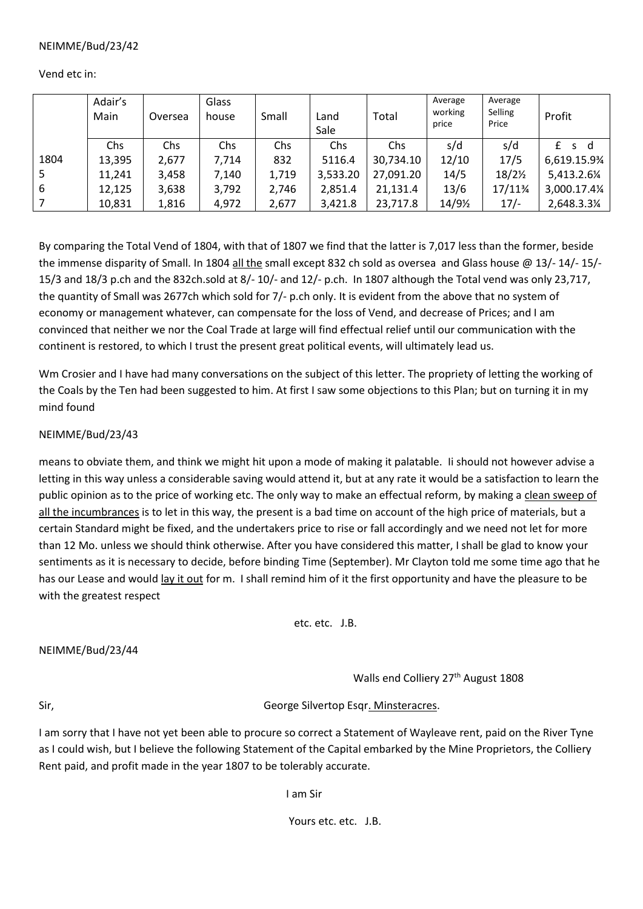Vend etc in:

|      | Adair's<br>Main | Oversea | Glass<br>house | Small | Land<br>Sale | Total     | Average<br>working<br>price | Average<br>Selling<br>Price | Profit        |
|------|-----------------|---------|----------------|-------|--------------|-----------|-----------------------------|-----------------------------|---------------|
|      | Chs             | Chs     | <b>Chs</b>     | Chs   | Chs          | Chs       | s/d                         | s/d                         | s d<br>£      |
| 1804 | 13,395          | 2,677   | 7,714          | 832   | 5116.4       | 30,734.10 | 12/10                       | 17/5                        | 6,619.15.9%   |
| 5    | 11,241          | 3,458   | 7,140          | 1,719 | 3,533.20     | 27,091.20 | 14/5                        | 18/2%                       | 5,413.2.61/4  |
| 6    | 12,125          | 3,638   | 3,792          | 2,746 | 2,851.4      | 21,131.4  | 13/6                        | 17/11¾                      | 3,000.17.41/4 |
|      | 10,831          | 1,816   | 4,972          | 2,677 | 3,421.8      | 23,717.8  | 14/91/2                     | $17/-$                      | 2,648.3.31/4  |

By comparing the Total Vend of 1804, with that of 1807 we find that the latter is 7,017 less than the former, beside the immense disparity of Small. In 1804 all the small except 832 ch sold as oversea and Glass house @ 13/- 14/- 15/- 15/3 and 18/3 p.ch and the 832ch.sold at 8/- 10/- and 12/- p.ch. In 1807 although the Total vend was only 23,717, the quantity of Small was 2677ch which sold for 7/- p.ch only. It is evident from the above that no system of economy or management whatever, can compensate for the loss of Vend, and decrease of Prices; and I am convinced that neither we nor the Coal Trade at large will find effectual relief until our communication with the continent is restored, to which I trust the present great political events, will ultimately lead us.

Wm Crosier and I have had many conversations on the subject of this letter. The propriety of letting the working of the Coals by the Ten had been suggested to him. At first I saw some objections to this Plan; but on turning it in my mind found

# NEIMME/Bud/23/43

means to obviate them, and think we might hit upon a mode of making it palatable. Ii should not however advise a letting in this way unless a considerable saving would attend it, but at any rate it would be a satisfaction to learn the public opinion as to the price of working etc. The only way to make an effectual reform, by making a clean sweep of all the incumbrances is to let in this way, the present is a bad time on account of the high price of materials, but a certain Standard might be fixed, and the undertakers price to rise or fall accordingly and we need not let for more than 12 Mo. unless we should think otherwise. After you have considered this matter, I shall be glad to know your sentiments as it is necessary to decide, before binding Time (September). Mr Clayton told me some time ago that he has our Lease and would lay it out for m. I shall remind him of it the first opportunity and have the pleasure to be with the greatest respect

etc. etc. J.B.

NEIMME/Bud/23/44

Walls end Colliery 27<sup>th</sup> August 1808

Sir, George Silvertop Esqr. Minsteracres.

I am sorry that I have not yet been able to procure so correct a Statement of Wayleave rent, paid on the River Tyne as I could wish, but I believe the following Statement of the Capital embarked by the Mine Proprietors, the Colliery Rent paid, and profit made in the year 1807 to be tolerably accurate.

I am Sir

Yours etc. etc. J.B.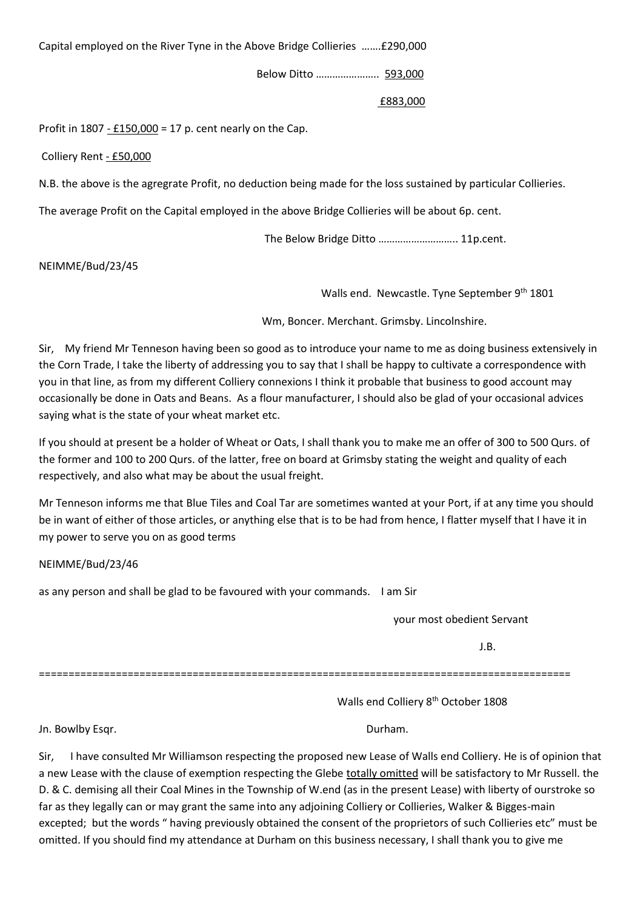Capital employed on the River Tyne in the Above Bridge Collieries …….£290,000

Below Ditto ………………….. 593,000

### £883,000

Profit in 1807 - £150,000 = 17 p. cent nearly on the Cap.

Colliery Rent - £50,000

N.B. the above is the agregrate Profit, no deduction being made for the loss sustained by particular Collieries.

The average Profit on the Capital employed in the above Bridge Collieries will be about 6p. cent.

The Below Bridge Ditto ……………………….. 11p.cent.

NEIMME/Bud/23/45

Walls end. Newcastle. Tyne September 9<sup>th</sup> 1801

Wm, Boncer. Merchant. Grimsby. Lincolnshire.

Sir, My friend Mr Tenneson having been so good as to introduce your name to me as doing business extensively in the Corn Trade, I take the liberty of addressing you to say that I shall be happy to cultivate a correspondence with you in that line, as from my different Colliery connexions I think it probable that business to good account may occasionally be done in Oats and Beans. As a flour manufacturer, I should also be glad of your occasional advices saying what is the state of your wheat market etc.

If you should at present be a holder of Wheat or Oats, I shall thank you to make me an offer of 300 to 500 Qurs. of the former and 100 to 200 Qurs. of the latter, free on board at Grimsby stating the weight and quality of each respectively, and also what may be about the usual freight.

Mr Tenneson informs me that Blue Tiles and Coal Tar are sometimes wanted at your Port, if at any time you should be in want of either of those articles, or anything else that is to be had from hence, I flatter myself that I have it in my power to serve you on as good terms

NEIMME/Bud/23/46

as any person and shall be glad to be favoured with your commands. I am Sir

your most obedient Servant

J.B.

==========================================================================================

Walls end Colliery 8<sup>th</sup> October 1808

Jn. Bowlby Esqr. **Durham.** 

Sir, I have consulted Mr Williamson respecting the proposed new Lease of Walls end Colliery. He is of opinion that a new Lease with the clause of exemption respecting the Glebe totally omitted will be satisfactory to Mr Russell. the D. & C. demising all their Coal Mines in the Township of W.end (as in the present Lease) with liberty of ourstroke so far as they legally can or may grant the same into any adjoining Colliery or Collieries, Walker & Bigges-main excepted; but the words " having previously obtained the consent of the proprietors of such Collieries etc" must be omitted. If you should find my attendance at Durham on this business necessary, I shall thank you to give me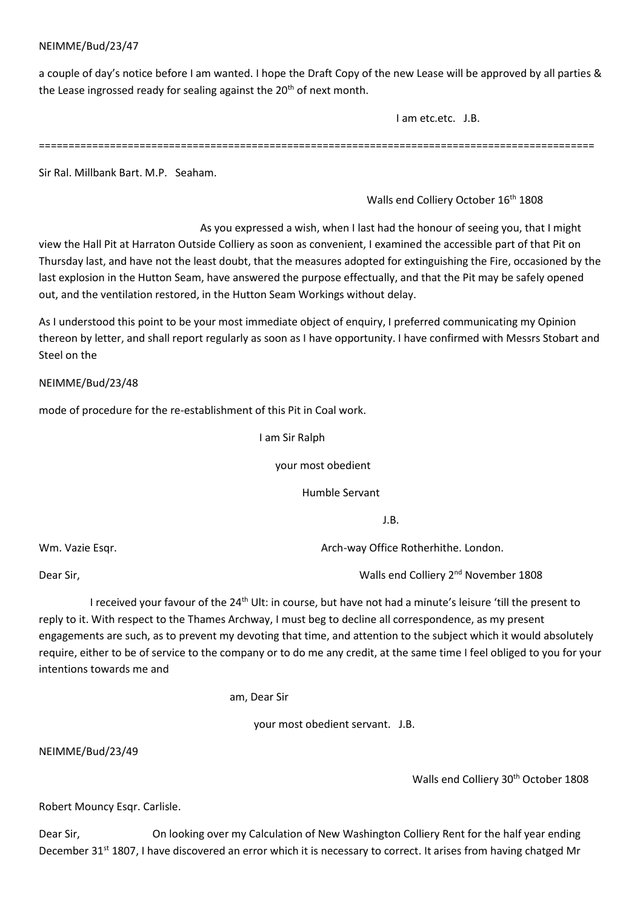a couple of day's notice before I am wanted. I hope the Draft Copy of the new Lease will be approved by all parties & the Lease ingrossed ready for sealing against the  $20<sup>th</sup>$  of next month.

I am etc.etc. J.B.

==============================================================================================

Sir Ral. Millbank Bart. M.P. Seaham.

Walls end Colliery October 16<sup>th</sup> 1808

 As you expressed a wish, when I last had the honour of seeing you, that I might view the Hall Pit at Harraton Outside Colliery as soon as convenient, I examined the accessible part of that Pit on Thursday last, and have not the least doubt, that the measures adopted for extinguishing the Fire, occasioned by the last explosion in the Hutton Seam, have answered the purpose effectually, and that the Pit may be safely opened out, and the ventilation restored, in the Hutton Seam Workings without delay.

As I understood this point to be your most immediate object of enquiry, I preferred communicating my Opinion thereon by letter, and shall report regularly as soon as I have opportunity. I have confirmed with Messrs Stobart and Steel on the

NEIMME/Bud/23/48

mode of procedure for the re-establishment of this Pit in Coal work.

I am Sir Ralph

your most obedient

Humble Servant

J.B.

Wm. Vazie Esgr.  $\blacksquare$ 

Dear Sir, Walls end Colliery 2nd November 1808

I received your favour of the 24<sup>th</sup> Ult: in course, but have not had a minute's leisure 'till the present to reply to it. With respect to the Thames Archway, I must beg to decline all correspondence, as my present engagements are such, as to prevent my devoting that time, and attention to the subject which it would absolutely require, either to be of service to the company or to do me any credit, at the same time I feel obliged to you for your intentions towards me and

am, Dear Sir

your most obedient servant. J.B.

NEIMME/Bud/23/49

Walls end Colliery 30<sup>th</sup> October 1808

Robert Mouncy Esqr. Carlisle.

Dear Sir, **On looking over my Calculation of New Washington Colliery Rent for the half year ending** December 31<sup>st</sup> 1807, I have discovered an error which it is necessary to correct. It arises from having chatged Mr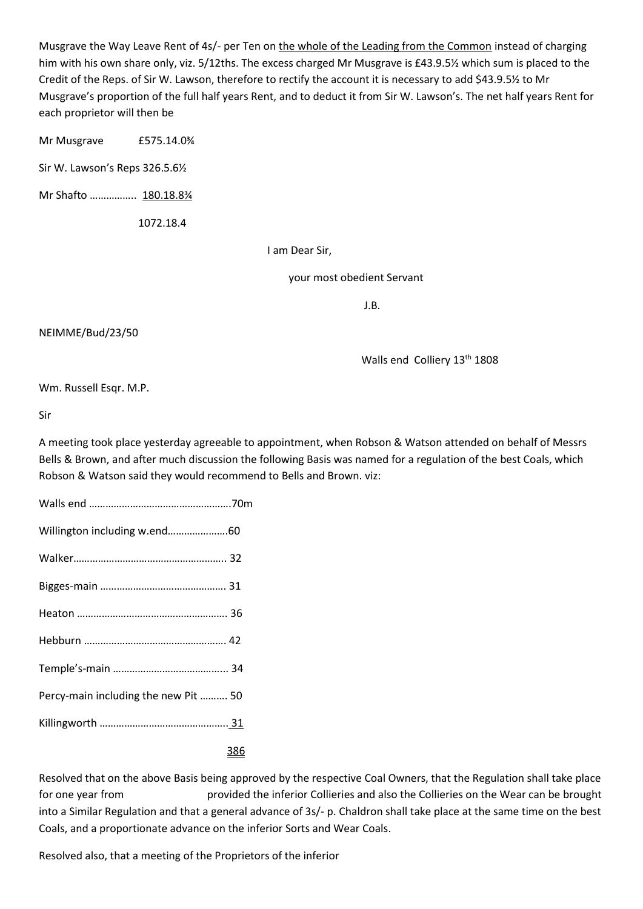Musgrave the Way Leave Rent of 4s/- per Ten on the whole of the Leading from the Common instead of charging him with his own share only, viz. 5/12ths. The excess charged Mr Musgrave is £43.9.5½ which sum is placed to the Credit of the Reps. of Sir W. Lawson, therefore to rectify the account it is necessary to add \$43.9.5½ to Mr Musgrave's proportion of the full half years Rent, and to deduct it from Sir W. Lawson's. The net half years Rent for each proprietor will then be

Mr Musgrave £575.14.0<sup>3</sup>/<sub>4</sub>

Sir W. Lawson's Reps 326.5.6½

Mr Shafto …………….. 180.18.8¾

1072.18.4

I am Dear Sir,

your most obedient Servant

J.B.

#### NEIMME/Bud/23/50

Walls end Colliery 13<sup>th</sup> 1808

Wm. Russell Esqr. M.P.

Sir

A meeting took place yesterday agreeable to appointment, when Robson & Watson attended on behalf of Messrs Bells & Brown, and after much discussion the following Basis was named for a regulation of the best Coals, which Robson & Watson said they would recommend to Bells and Brown. viz:

| Willington including w.end60         |            |
|--------------------------------------|------------|
|                                      |            |
|                                      |            |
|                                      |            |
|                                      |            |
|                                      |            |
| Percy-main including the new Pit  50 |            |
|                                      |            |
|                                      | <u>386</u> |

Resolved that on the above Basis being approved by the respective Coal Owners, that the Regulation shall take place for one year from provided the inferior Collieries and also the Collieries on the Wear can be brought into a Similar Regulation and that a general advance of 3s/- p. Chaldron shall take place at the same time on the best Coals, and a proportionate advance on the inferior Sorts and Wear Coals.

Resolved also, that a meeting of the Proprietors of the inferior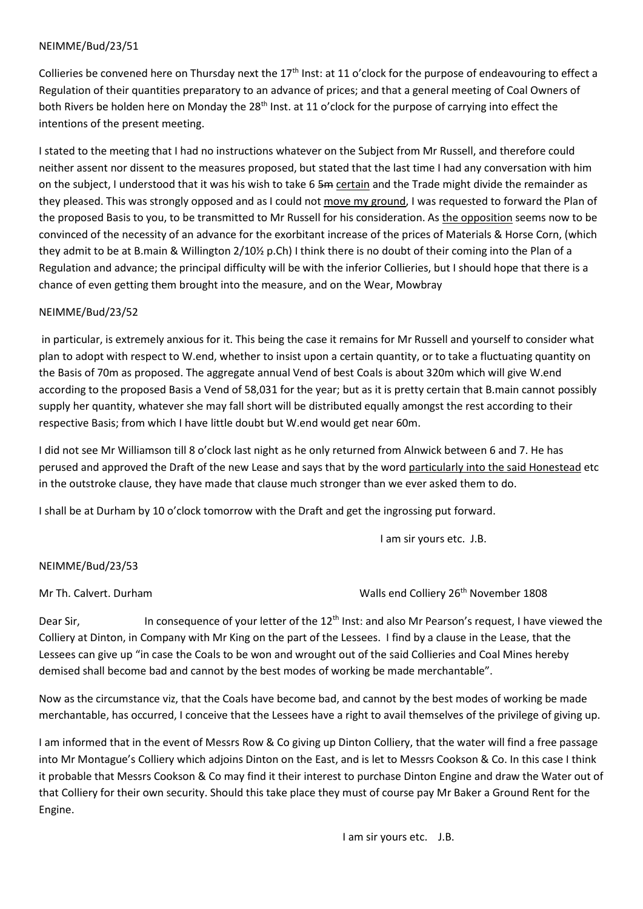Collieries be convened here on Thursday next the 17<sup>th</sup> Inst: at 11 o'clock for the purpose of endeavouring to effect a Regulation of their quantities preparatory to an advance of prices; and that a general meeting of Coal Owners of both Rivers be holden here on Monday the 28<sup>th</sup> Inst. at 11 o'clock for the purpose of carrying into effect the intentions of the present meeting.

I stated to the meeting that I had no instructions whatever on the Subject from Mr Russell, and therefore could neither assent nor dissent to the measures proposed, but stated that the last time I had any conversation with him on the subject, I understood that it was his wish to take 6 5m certain and the Trade might divide the remainder as they pleased. This was strongly opposed and as I could not move my ground, I was requested to forward the Plan of the proposed Basis to you, to be transmitted to Mr Russell for his consideration. As the opposition seems now to be convinced of the necessity of an advance for the exorbitant increase of the prices of Materials & Horse Corn, (which they admit to be at B.main & Willington 2/10½ p.Ch) I think there is no doubt of their coming into the Plan of a Regulation and advance; the principal difficulty will be with the inferior Collieries, but I should hope that there is a chance of even getting them brought into the measure, and on the Wear, Mowbray

## NEIMME/Bud/23/52

in particular, is extremely anxious for it. This being the case it remains for Mr Russell and yourself to consider what plan to adopt with respect to W.end, whether to insist upon a certain quantity, or to take a fluctuating quantity on the Basis of 70m as proposed. The aggregate annual Vend of best Coals is about 320m which will give W.end according to the proposed Basis a Vend of 58,031 for the year; but as it is pretty certain that B.main cannot possibly supply her quantity, whatever she may fall short will be distributed equally amongst the rest according to their respective Basis; from which I have little doubt but W.end would get near 60m.

I did not see Mr Williamson till 8 o'clock last night as he only returned from Alnwick between 6 and 7. He has perused and approved the Draft of the new Lease and says that by the word particularly into the said Honestead etc in the outstroke clause, they have made that clause much stronger than we ever asked them to do.

I shall be at Durham by 10 o'clock tomorrow with the Draft and get the ingrossing put forward.

I am sir yours etc. J.B.

# NEIMME/Bud/23/53

Mr Th. Calvert. Durham November 1808

Dear Sir,  $\blacksquare$  In consequence of your letter of the 12<sup>th</sup> Inst: and also Mr Pearson's request, I have viewed the Colliery at Dinton, in Company with Mr King on the part of the Lessees. I find by a clause in the Lease, that the Lessees can give up "in case the Coals to be won and wrought out of the said Collieries and Coal Mines hereby demised shall become bad and cannot by the best modes of working be made merchantable".

Now as the circumstance viz, that the Coals have become bad, and cannot by the best modes of working be made merchantable, has occurred, I conceive that the Lessees have a right to avail themselves of the privilege of giving up.

I am informed that in the event of Messrs Row & Co giving up Dinton Colliery, that the water will find a free passage into Mr Montague's Colliery which adjoins Dinton on the East, and is let to Messrs Cookson & Co. In this case I think it probable that Messrs Cookson & Co may find it their interest to purchase Dinton Engine and draw the Water out of that Colliery for their own security. Should this take place they must of course pay Mr Baker a Ground Rent for the Engine.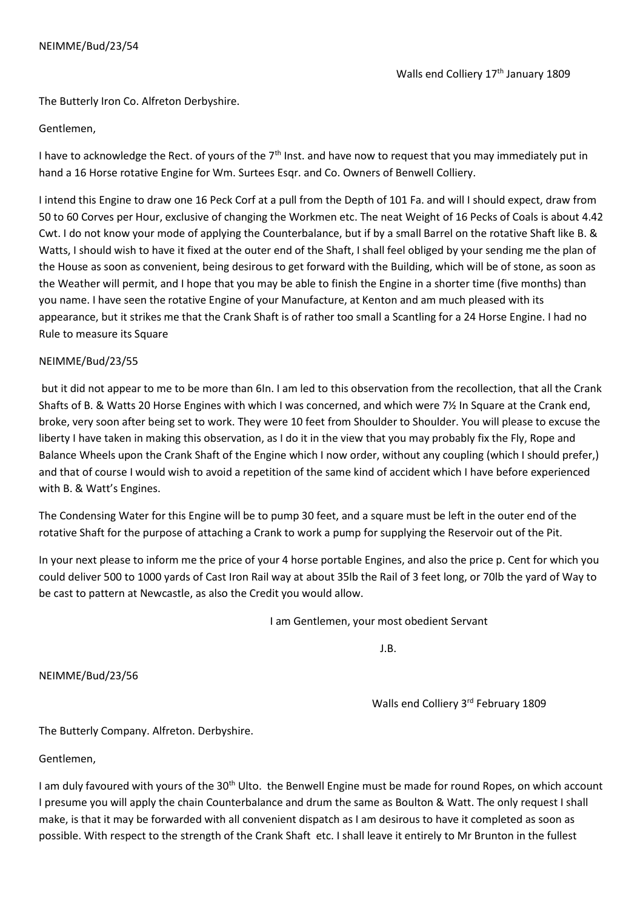The Butterly Iron Co. Alfreton Derbyshire.

# Gentlemen,

I have to acknowledge the Rect. of yours of the 7<sup>th</sup> Inst. and have now to request that you may immediately put in hand a 16 Horse rotative Engine for Wm. Surtees Esqr. and Co. Owners of Benwell Colliery.

I intend this Engine to draw one 16 Peck Corf at a pull from the Depth of 101 Fa. and will I should expect, draw from 50 to 60 Corves per Hour, exclusive of changing the Workmen etc. The neat Weight of 16 Pecks of Coals is about 4.42 Cwt. I do not know your mode of applying the Counterbalance, but if by a small Barrel on the rotative Shaft like B. & Watts, I should wish to have it fixed at the outer end of the Shaft, I shall feel obliged by your sending me the plan of the House as soon as convenient, being desirous to get forward with the Building, which will be of stone, as soon as the Weather will permit, and I hope that you may be able to finish the Engine in a shorter time (five months) than you name. I have seen the rotative Engine of your Manufacture, at Kenton and am much pleased with its appearance, but it strikes me that the Crank Shaft is of rather too small a Scantling for a 24 Horse Engine. I had no Rule to measure its Square

# NEIMME/Bud/23/55

but it did not appear to me to be more than 6In. I am led to this observation from the recollection, that all the Crank Shafts of B. & Watts 20 Horse Engines with which I was concerned, and which were 7½ In Square at the Crank end, broke, very soon after being set to work. They were 10 feet from Shoulder to Shoulder. You will please to excuse the liberty I have taken in making this observation, as I do it in the view that you may probably fix the Fly, Rope and Balance Wheels upon the Crank Shaft of the Engine which I now order, without any coupling (which I should prefer,) and that of course I would wish to avoid a repetition of the same kind of accident which I have before experienced with B. & Watt's Engines.

The Condensing Water for this Engine will be to pump 30 feet, and a square must be left in the outer end of the rotative Shaft for the purpose of attaching a Crank to work a pump for supplying the Reservoir out of the Pit.

In your next please to inform me the price of your 4 horse portable Engines, and also the price p. Cent for which you could deliver 500 to 1000 yards of Cast Iron Rail way at about 35lb the Rail of 3 feet long, or 70lb the yard of Way to be cast to pattern at Newcastle, as also the Credit you would allow.

I am Gentlemen, your most obedient Servant

J.B.

NEIMME/Bud/23/56

Walls end Colliery 3rd February 1809

The Butterly Company. Alfreton. Derbyshire.

Gentlemen,

I am duly favoured with yours of the 30<sup>th</sup> Ulto. the Benwell Engine must be made for round Ropes, on which account I presume you will apply the chain Counterbalance and drum the same as Boulton & Watt. The only request I shall make, is that it may be forwarded with all convenient dispatch as I am desirous to have it completed as soon as possible. With respect to the strength of the Crank Shaft etc. I shall leave it entirely to Mr Brunton in the fullest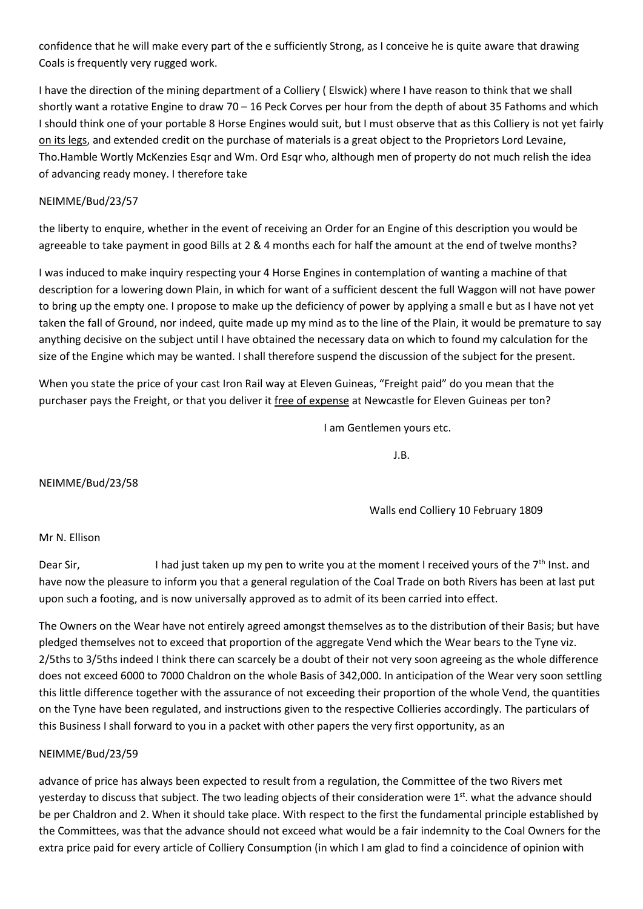confidence that he will make every part of the e sufficiently Strong, as I conceive he is quite aware that drawing Coals is frequently very rugged work.

I have the direction of the mining department of a Colliery ( Elswick) where I have reason to think that we shall shortly want a rotative Engine to draw 70 – 16 Peck Corves per hour from the depth of about 35 Fathoms and which I should think one of your portable 8 Horse Engines would suit, but I must observe that as this Colliery is not yet fairly on its legs, and extended credit on the purchase of materials is a great object to the Proprietors Lord Levaine, Tho.Hamble Wortly McKenzies Esqr and Wm. Ord Esqr who, although men of property do not much relish the idea of advancing ready money. I therefore take

# NEIMME/Bud/23/57

the liberty to enquire, whether in the event of receiving an Order for an Engine of this description you would be agreeable to take payment in good Bills at 2 & 4 months each for half the amount at the end of twelve months?

I was induced to make inquiry respecting your 4 Horse Engines in contemplation of wanting a machine of that description for a lowering down Plain, in which for want of a sufficient descent the full Waggon will not have power to bring up the empty one. I propose to make up the deficiency of power by applying a small e but as I have not yet taken the fall of Ground, nor indeed, quite made up my mind as to the line of the Plain, it would be premature to say anything decisive on the subject until I have obtained the necessary data on which to found my calculation for the size of the Engine which may be wanted. I shall therefore suspend the discussion of the subject for the present.

When you state the price of your cast Iron Rail way at Eleven Guineas, "Freight paid" do you mean that the purchaser pays the Freight, or that you deliver it free of expense at Newcastle for Eleven Guineas per ton?

I am Gentlemen yours etc.

J.B.

NEIMME/Bud/23/58

Walls end Colliery 10 February 1809

# Mr N. Ellison

Dear Sir, I had just taken up my pen to write you at the moment I received yours of the  $7<sup>th</sup>$  Inst. and have now the pleasure to inform you that a general regulation of the Coal Trade on both Rivers has been at last put upon such a footing, and is now universally approved as to admit of its been carried into effect.

The Owners on the Wear have not entirely agreed amongst themselves as to the distribution of their Basis; but have pledged themselves not to exceed that proportion of the aggregate Vend which the Wear bears to the Tyne viz. 2/5ths to 3/5ths indeed I think there can scarcely be a doubt of their not very soon agreeing as the whole difference does not exceed 6000 to 7000 Chaldron on the whole Basis of 342,000. In anticipation of the Wear very soon settling this little difference together with the assurance of not exceeding their proportion of the whole Vend, the quantities on the Tyne have been regulated, and instructions given to the respective Collieries accordingly. The particulars of this Business I shall forward to you in a packet with other papers the very first opportunity, as an

# NEIMME/Bud/23/59

advance of price has always been expected to result from a regulation, the Committee of the two Rivers met yesterday to discuss that subject. The two leading objects of their consideration were 1<sup>st</sup>. what the advance should be per Chaldron and 2. When it should take place. With respect to the first the fundamental principle established by the Committees, was that the advance should not exceed what would be a fair indemnity to the Coal Owners for the extra price paid for every article of Colliery Consumption (in which I am glad to find a coincidence of opinion with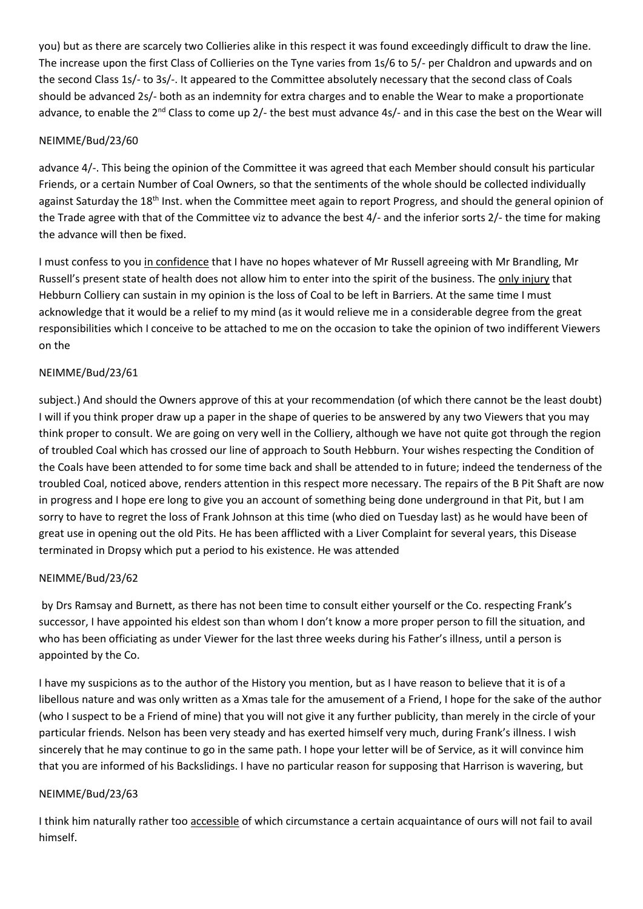you) but as there are scarcely two Collieries alike in this respect it was found exceedingly difficult to draw the line. The increase upon the first Class of Collieries on the Tyne varies from 1s/6 to 5/- per Chaldron and upwards and on the second Class 1s/- to 3s/-. It appeared to the Committee absolutely necessary that the second class of Coals should be advanced 2s/- both as an indemnity for extra charges and to enable the Wear to make a proportionate advance, to enable the 2<sup>nd</sup> Class to come up 2/- the best must advance 4s/- and in this case the best on the Wear will

# NEIMME/Bud/23/60

advance 4/-. This being the opinion of the Committee it was agreed that each Member should consult his particular Friends, or a certain Number of Coal Owners, so that the sentiments of the whole should be collected individually against Saturday the 18<sup>th</sup> Inst. when the Committee meet again to report Progress, and should the general opinion of the Trade agree with that of the Committee viz to advance the best 4/- and the inferior sorts 2/- the time for making the advance will then be fixed.

I must confess to you in confidence that I have no hopes whatever of Mr Russell agreeing with Mr Brandling, Mr Russell's present state of health does not allow him to enter into the spirit of the business. The only injury that Hebburn Colliery can sustain in my opinion is the loss of Coal to be left in Barriers. At the same time I must acknowledge that it would be a relief to my mind (as it would relieve me in a considerable degree from the great responsibilities which I conceive to be attached to me on the occasion to take the opinion of two indifferent Viewers on the

# NEIMME/Bud/23/61

subject.) And should the Owners approve of this at your recommendation (of which there cannot be the least doubt) I will if you think proper draw up a paper in the shape of queries to be answered by any two Viewers that you may think proper to consult. We are going on very well in the Colliery, although we have not quite got through the region of troubled Coal which has crossed our line of approach to South Hebburn. Your wishes respecting the Condition of the Coals have been attended to for some time back and shall be attended to in future; indeed the tenderness of the troubled Coal, noticed above, renders attention in this respect more necessary. The repairs of the B Pit Shaft are now in progress and I hope ere long to give you an account of something being done underground in that Pit, but I am sorry to have to regret the loss of Frank Johnson at this time (who died on Tuesday last) as he would have been of great use in opening out the old Pits. He has been afflicted with a Liver Complaint for several years, this Disease terminated in Dropsy which put a period to his existence. He was attended

# NEIMME/Bud/23/62

by Drs Ramsay and Burnett, as there has not been time to consult either yourself or the Co. respecting Frank's successor, I have appointed his eldest son than whom I don't know a more proper person to fill the situation, and who has been officiating as under Viewer for the last three weeks during his Father's illness, until a person is appointed by the Co.

I have my suspicions as to the author of the History you mention, but as I have reason to believe that it is of a libellous nature and was only written as a Xmas tale for the amusement of a Friend, I hope for the sake of the author (who I suspect to be a Friend of mine) that you will not give it any further publicity, than merely in the circle of your particular friends. Nelson has been very steady and has exerted himself very much, during Frank's illness. I wish sincerely that he may continue to go in the same path. I hope your letter will be of Service, as it will convince him that you are informed of his Backslidings. I have no particular reason for supposing that Harrison is wavering, but

# NEIMME/Bud/23/63

I think him naturally rather too accessible of which circumstance a certain acquaintance of ours will not fail to avail himself.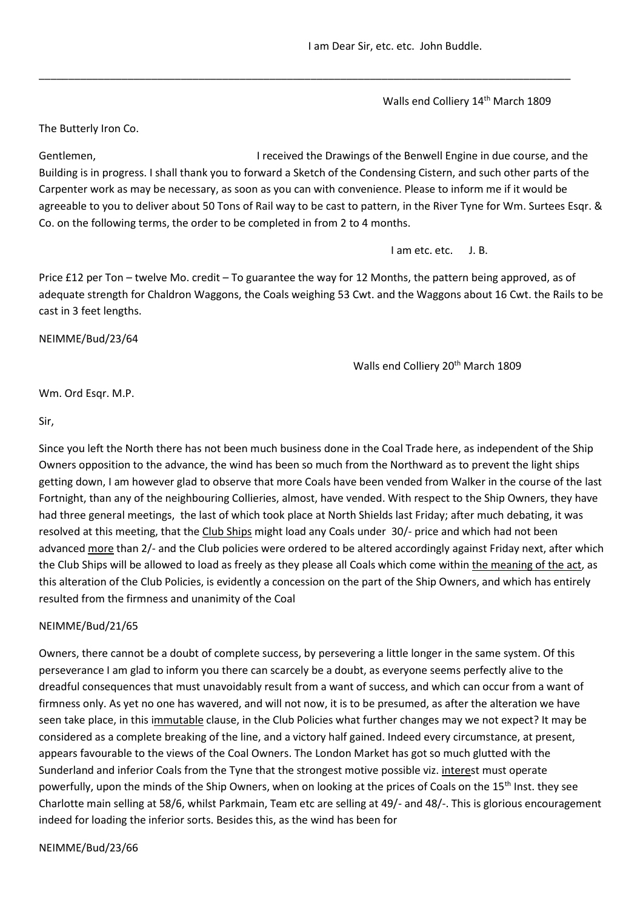I am Dear Sir, etc. etc. John Buddle.

Walls end Colliery 14<sup>th</sup> March 1809

The Butterly Iron Co.

Gentlemen, **I** received the Drawings of the Benwell Engine in due course, and the Building is in progress. I shall thank you to forward a Sketch of the Condensing Cistern, and such other parts of the Carpenter work as may be necessary, as soon as you can with convenience. Please to inform me if it would be agreeable to you to deliver about 50 Tons of Rail way to be cast to pattern, in the River Tyne for Wm. Surtees Esqr. & Co. on the following terms, the order to be completed in from 2 to 4 months.

\_\_\_\_\_\_\_\_\_\_\_\_\_\_\_\_\_\_\_\_\_\_\_\_\_\_\_\_\_\_\_\_\_\_\_\_\_\_\_\_\_\_\_\_\_\_\_\_\_\_\_\_\_\_\_\_\_\_\_\_\_\_\_\_\_\_\_\_\_\_\_\_\_\_\_\_\_\_\_\_\_\_\_\_\_\_\_\_\_\_

I am etc. etc. J. B.

Price £12 per Ton – twelve Mo. credit – To guarantee the way for 12 Months, the pattern being approved, as of adequate strength for Chaldron Waggons, the Coals weighing 53 Cwt. and the Waggons about 16 Cwt. the Rails to be cast in 3 feet lengths.

NEIMME/Bud/23/64

Walls end Colliery 20<sup>th</sup> March 1809

Wm. Ord Esqr. M.P.

Sir,

Since you left the North there has not been much business done in the Coal Trade here, as independent of the Ship Owners opposition to the advance, the wind has been so much from the Northward as to prevent the light ships getting down, I am however glad to observe that more Coals have been vended from Walker in the course of the last Fortnight, than any of the neighbouring Collieries, almost, have vended. With respect to the Ship Owners, they have had three general meetings, the last of which took place at North Shields last Friday; after much debating, it was resolved at this meeting, that the Club Ships might load any Coals under 30/- price and which had not been advanced more than 2/- and the Club policies were ordered to be altered accordingly against Friday next, after which the Club Ships will be allowed to load as freely as they please all Coals which come within the meaning of the act, as this alteration of the Club Policies, is evidently a concession on the part of the Ship Owners, and which has entirely resulted from the firmness and unanimity of the Coal

# NEIMME/Bud/21/65

Owners, there cannot be a doubt of complete success, by persevering a little longer in the same system. Of this perseverance I am glad to inform you there can scarcely be a doubt, as everyone seems perfectly alive to the dreadful consequences that must unavoidably result from a want of success, and which can occur from a want of firmness only. As yet no one has wavered, and will not now, it is to be presumed, as after the alteration we have seen take place, in this immutable clause, in the Club Policies what further changes may we not expect? It may be considered as a complete breaking of the line, and a victory half gained. Indeed every circumstance, at present, appears favourable to the views of the Coal Owners. The London Market has got so much glutted with the Sunderland and inferior Coals from the Tyne that the strongest motive possible viz. interest must operate powerfully, upon the minds of the Ship Owners, when on looking at the prices of Coals on the 15<sup>th</sup> Inst. they see Charlotte main selling at 58/6, whilst Parkmain, Team etc are selling at 49/- and 48/-. This is glorious encouragement indeed for loading the inferior sorts. Besides this, as the wind has been for

NEIMME/Bud/23/66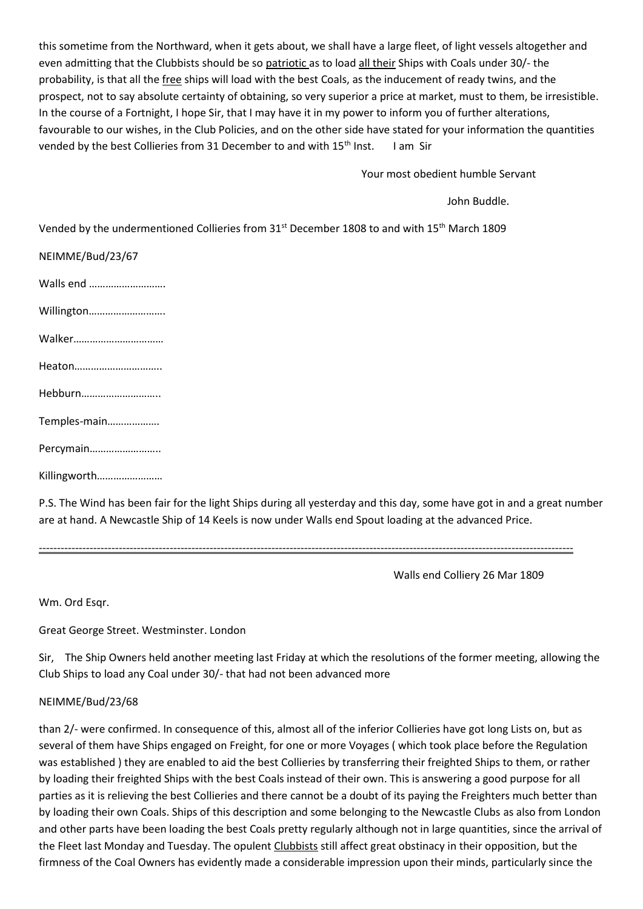this sometime from the Northward, when it gets about, we shall have a large fleet, of light vessels altogether and even admitting that the Clubbists should be so patriotic as to load all their Ships with Coals under 30/- the probability, is that all the free ships will load with the best Coals, as the inducement of ready twins, and the prospect, not to say absolute certainty of obtaining, so very superior a price at market, must to them, be irresistible. In the course of a Fortnight, I hope Sir, that I may have it in my power to inform you of further alterations, favourable to our wishes, in the Club Policies, and on the other side have stated for your information the quantities vended by the best Collieries from 31 December to and with 15<sup>th</sup> Inst. I am Sir

Your most obedient humble Servant

John Buddle.

Vended by the undermentioned Collieries from 31<sup>st</sup> December 1808 to and with 15<sup>th</sup> March 1809

| NEIMME/Bud/23/67 |
|------------------|
| Walls end        |
| Willington       |
| Walker           |
| Heaton           |
| Hebburn          |
| Temples-main     |
| Percymain        |
| Killingworth     |

P.S. The Wind has been fair for the light Ships during all yesterday and this day, some have got in and a great number are at hand. A Newcastle Ship of 14 Keels is now under Walls end Spout loading at the advanced Price.

---------------------------------------------------------------------------------------------------------------------------------------------------

Walls end Colliery 26 Mar 1809

Wm. Ord Esqr.

Great George Street. Westminster. London

Sir, The Ship Owners held another meeting last Friday at which the resolutions of the former meeting, allowing the Club Ships to load any Coal under 30/- that had not been advanced more

### NEIMME/Bud/23/68

than 2/- were confirmed. In consequence of this, almost all of the inferior Collieries have got long Lists on, but as several of them have Ships engaged on Freight, for one or more Voyages ( which took place before the Regulation was established ) they are enabled to aid the best Collieries by transferring their freighted Ships to them, or rather by loading their freighted Ships with the best Coals instead of their own. This is answering a good purpose for all parties as it is relieving the best Collieries and there cannot be a doubt of its paying the Freighters much better than by loading their own Coals. Ships of this description and some belonging to the Newcastle Clubs as also from London and other parts have been loading the best Coals pretty regularly although not in large quantities, since the arrival of the Fleet last Monday and Tuesday. The opulent Clubbists still affect great obstinacy in their opposition, but the firmness of the Coal Owners has evidently made a considerable impression upon their minds, particularly since the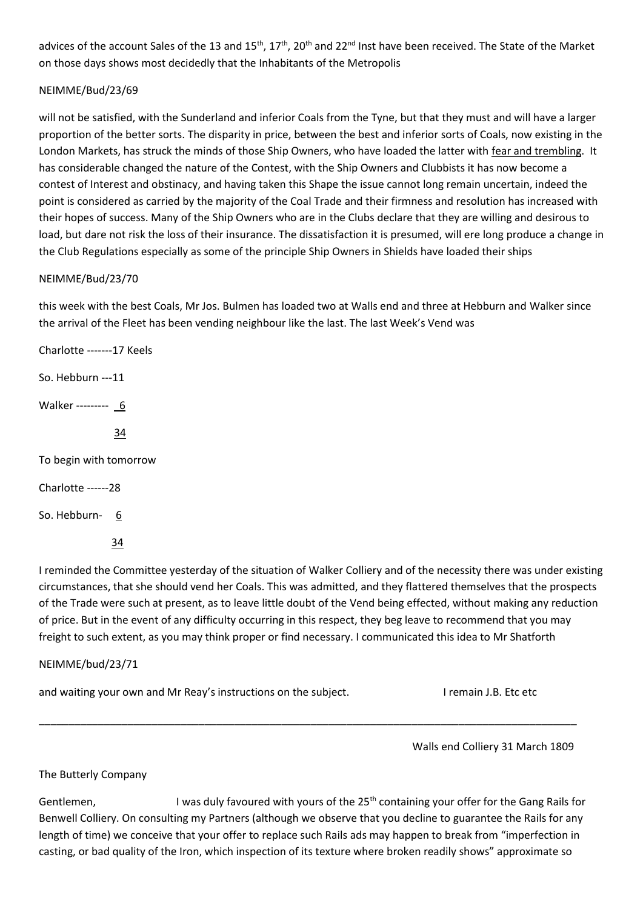advices of the account Sales of the 13 and  $15^{th}$ ,  $17^{th}$ ,  $20^{th}$  and  $22^{nd}$  Inst have been received. The State of the Market on those days shows most decidedly that the Inhabitants of the Metropolis

# NEIMME/Bud/23/69

will not be satisfied, with the Sunderland and inferior Coals from the Tyne, but that they must and will have a larger proportion of the better sorts. The disparity in price, between the best and inferior sorts of Coals, now existing in the London Markets, has struck the minds of those Ship Owners, who have loaded the latter with fear and trembling. It has considerable changed the nature of the Contest, with the Ship Owners and Clubbists it has now become a contest of Interest and obstinacy, and having taken this Shape the issue cannot long remain uncertain, indeed the point is considered as carried by the majority of the Coal Trade and their firmness and resolution has increased with their hopes of success. Many of the Ship Owners who are in the Clubs declare that they are willing and desirous to load, but dare not risk the loss of their insurance. The dissatisfaction it is presumed, will ere long produce a change in the Club Regulations especially as some of the principle Ship Owners in Shields have loaded their ships

# NEIMME/Bud/23/70

this week with the best Coals, Mr Jos. Bulmen has loaded two at Walls end and three at Hebburn and Walker since the arrival of the Fleet has been vending neighbour like the last. The last Week's Vend was

Charlotte -------17 Keels So. Hebburn ---11 Walker --------- 6 34 To begin with tomorrow Charlotte ------28 So. Hebburn- 6 34

I reminded the Committee yesterday of the situation of Walker Colliery and of the necessity there was under existing circumstances, that she should vend her Coals. This was admitted, and they flattered themselves that the prospects of the Trade were such at present, as to leave little doubt of the Vend being effected, without making any reduction of price. But in the event of any difficulty occurring in this respect, they beg leave to recommend that you may freight to such extent, as you may think proper or find necessary. I communicated this idea to Mr Shatforth

# NEIMME/bud/23/71

and waiting your own and Mr Reay's instructions on the subject. I remain J.B. Etc etc

Walls end Colliery 31 March 1809

The Butterly Company

Gentlemen, I was duly favoured with yours of the 25<sup>th</sup> containing your offer for the Gang Rails for Benwell Colliery. On consulting my Partners (although we observe that you decline to guarantee the Rails for any length of time) we conceive that your offer to replace such Rails ads may happen to break from "imperfection in casting, or bad quality of the Iron, which inspection of its texture where broken readily shows" approximate so

\_\_\_\_\_\_\_\_\_\_\_\_\_\_\_\_\_\_\_\_\_\_\_\_\_\_\_\_\_\_\_\_\_\_\_\_\_\_\_\_\_\_\_\_\_\_\_\_\_\_\_\_\_\_\_\_\_\_\_\_\_\_\_\_\_\_\_\_\_\_\_\_\_\_\_\_\_\_\_\_\_\_\_\_\_\_\_\_\_\_\_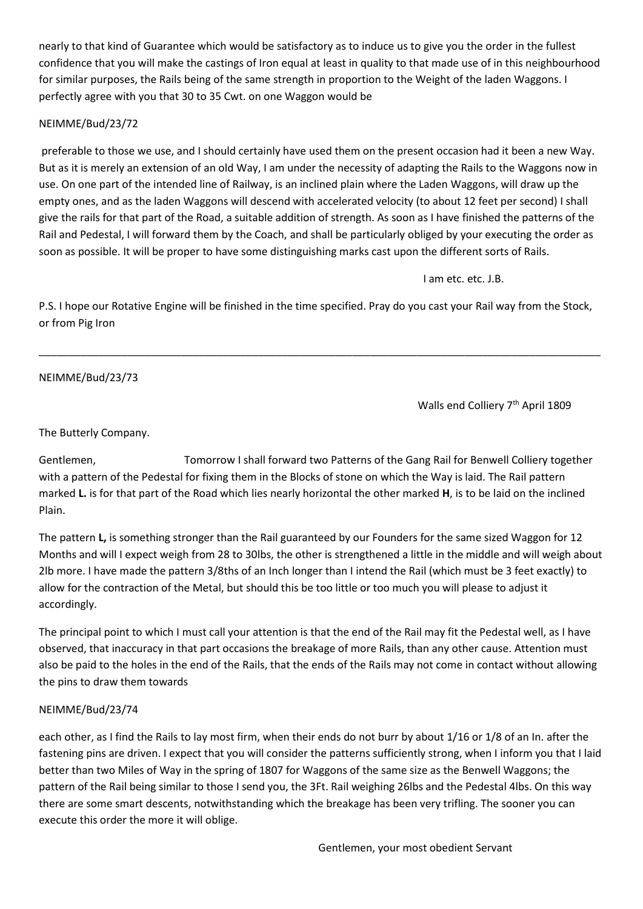nearly to that kind of Guarantee which would be satisfactory as to induce us to give you the order in the fullest confidence that you will make the castings of Iron equal at least in quality to that made use of in this neighbourhood for similar purposes, the Rails being of the same strength in proportion to the Weight of the laden Waggons. I perfectly agree with you that 30 to 35 Cwt. on one Waggon would be

# NEIMME/Bud/23/72

preferable to those we use, and I should certainly have used them on the present occasion had it been a new Way. But as it is merely an extension of an old Way, I am under the necessity of adapting the Rails to the Waggons now in use. On one part of the intended line of Railway, is an inclined plain where the Laden Waggons, will draw up the empty ones, and as the laden Waggons will descend with accelerated velocity (to about 12 feet per second) I shall give the rails for that part of the Road, a suitable addition of strength. As soon as I have finished the patterns of the Rail and Pedestal, I will forward them by the Coach, and shall be particularly obliged by your executing the order as soon as possible. It will be proper to have some distinguishing marks cast upon the different sorts of Rails.

I am etc. etc. J.B.

P.S. I hope our Rotative Engine will be finished in the time specified. Pray do you cast your Rail way from the Stock, or from Pig Iron

\_\_\_\_\_\_\_\_\_\_\_\_\_\_\_\_\_\_\_\_\_\_\_\_\_\_\_\_\_\_\_\_\_\_\_\_\_\_\_\_\_\_\_\_\_\_\_\_\_\_\_\_\_\_\_\_\_\_\_\_\_\_\_\_\_\_\_\_\_\_\_\_\_\_\_\_\_\_\_\_\_\_\_\_\_\_\_\_\_\_\_\_\_\_\_

# NEIMME/Bud/23/73

Walls end Colliery 7<sup>th</sup> April 1809

The Butterly Company.

Gentlemen, Tomorrow I shall forward two Patterns of the Gang Rail for Benwell Colliery together with a pattern of the Pedestal for fixing them in the Blocks of stone on which the Way is laid. The Rail pattern marked **L.** is for that part of the Road which lies nearly horizontal the other marked **H**, is to be laid on the inclined Plain.

The pattern **L,** is something stronger than the Rail guaranteed by our Founders for the same sized Waggon for 12 Months and will I expect weigh from 28 to 30lbs, the other is strengthened a little in the middle and will weigh about 2lb more. I have made the pattern 3/8ths of an Inch longer than I intend the Rail (which must be 3 feet exactly) to allow for the contraction of the Metal, but should this be too little or too much you will please to adjust it accordingly.

The principal point to which I must call your attention is that the end of the Rail may fit the Pedestal well, as I have observed, that inaccuracy in that part occasions the breakage of more Rails, than any other cause. Attention must also be paid to the holes in the end of the Rails, that the ends of the Rails may not come in contact without allowing the pins to draw them towards

# NEIMME/Bud/23/74

each other, as I find the Rails to lay most firm, when their ends do not burr by about 1/16 or 1/8 of an In. after the fastening pins are driven. I expect that you will consider the patterns sufficiently strong, when I inform you that I laid better than two Miles of Way in the spring of 1807 for Waggons of the same size as the Benwell Waggons; the pattern of the Rail being similar to those I send you, the 3Ft. Rail weighing 26lbs and the Pedestal 4lbs. On this way there are some smart descents, notwithstanding which the breakage has been very trifling. The sooner you can execute this order the more it will oblige.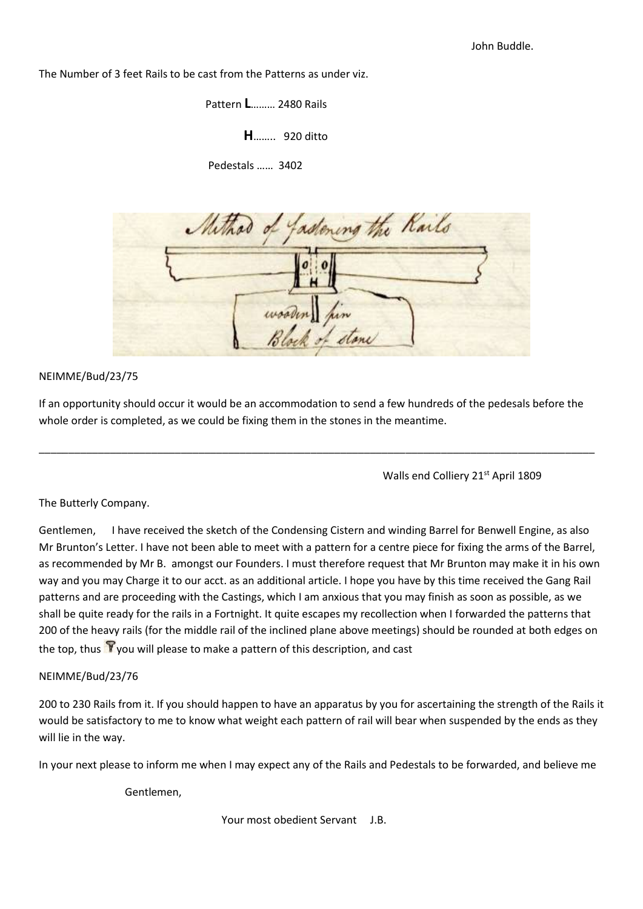The Number of 3 feet Rails to be cast from the Patterns as under viz.

 Pattern **L**……… 2480 Rails  **H**…….. 920 ditto Pedestals …… 3402



## NEIMME/Bud/23/75

If an opportunity should occur it would be an accommodation to send a few hundreds of the pedesals before the whole order is completed, as we could be fixing them in the stones in the meantime.

\_\_\_\_\_\_\_\_\_\_\_\_\_\_\_\_\_\_\_\_\_\_\_\_\_\_\_\_\_\_\_\_\_\_\_\_\_\_\_\_\_\_\_\_\_\_\_\_\_\_\_\_\_\_\_\_\_\_\_\_\_\_\_\_\_\_\_\_\_\_\_\_\_\_\_\_\_\_\_\_\_\_\_\_\_\_\_\_\_\_\_\_\_\_

Walls end Colliery 21<sup>st</sup> April 1809

The Butterly Company.

Gentlemen, I have received the sketch of the Condensing Cistern and winding Barrel for Benwell Engine, as also Mr Brunton's Letter. I have not been able to meet with a pattern for a centre piece for fixing the arms of the Barrel, as recommended by Mr B. amongst our Founders. I must therefore request that Mr Brunton may make it in his own way and you may Charge it to our acct. as an additional article. I hope you have by this time received the Gang Rail patterns and are proceeding with the Castings, which I am anxious that you may finish as soon as possible, as we shall be quite ready for the rails in a Fortnight. It quite escapes my recollection when I forwarded the patterns that 200 of the heavy rails (for the middle rail of the inclined plane above meetings) should be rounded at both edges on the top, thus  $\mathbf{Y}$  you will please to make a pattern of this description, and cast

# NEIMME/Bud/23/76

200 to 230 Rails from it. If you should happen to have an apparatus by you for ascertaining the strength of the Rails it would be satisfactory to me to know what weight each pattern of rail will bear when suspended by the ends as they will lie in the way.

In your next please to inform me when I may expect any of the Rails and Pedestals to be forwarded, and believe me

Gentlemen,

Your most obedient Servant J.B.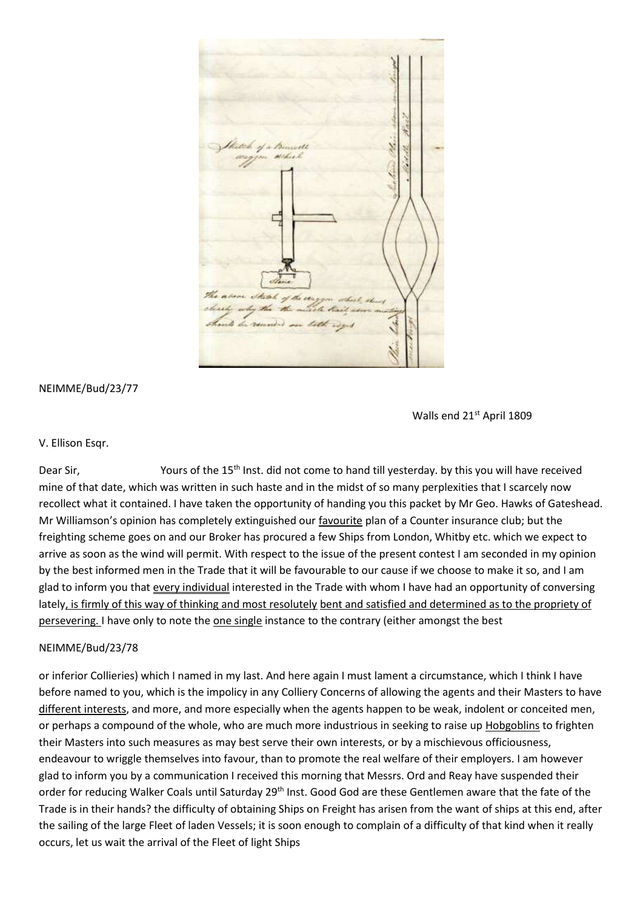

Walls end 21<sup>st</sup> April 1809

#### V. Ellison Esqr.

Dear Sir, Yours of the 15<sup>th</sup> Inst. did not come to hand till yesterday. by this you will have received mine of that date, which was written in such haste and in the midst of so many perplexities that I scarcely now recollect what it contained. I have taken the opportunity of handing you this packet by Mr Geo. Hawks of Gateshead. Mr Williamson's opinion has completely extinguished our favourite plan of a Counter insurance club; but the freighting scheme goes on and our Broker has procured a few Ships from London, Whitby etc. which we expect to arrive as soon as the wind will permit. With respect to the issue of the present contest I am seconded in my opinion by the best informed men in the Trade that it will be favourable to our cause if we choose to make it so, and I am glad to inform you that every individual interested in the Trade with whom I have had an opportunity of conversing lately, is firmly of this way of thinking and most resolutely bent and satisfied and determined as to the propriety of persevering. I have only to note the one single instance to the contrary (either amongst the best

### NEIMME/Bud/23/78

or inferior Collieries) which I named in my last. And here again I must lament a circumstance, which I think I have before named to you, which is the impolicy in any Colliery Concerns of allowing the agents and their Masters to have different interests, and more, and more especially when the agents happen to be weak, indolent or conceited men, or perhaps a compound of the whole, who are much more industrious in seeking to raise up Hobgoblins to frighten their Masters into such measures as may best serve their own interests, or by a mischievous officiousness, endeavour to wriggle themselves into favour, than to promote the real welfare of their employers. I am however glad to inform you by a communication I received this morning that Messrs. Ord and Reay have suspended their order for reducing Walker Coals until Saturday 29<sup>th</sup> Inst. Good God are these Gentlemen aware that the fate of the Trade is in their hands? the difficulty of obtaining Ships on Freight has arisen from the want of ships at this end, after the sailing of the large Fleet of laden Vessels; it is soon enough to complain of a difficulty of that kind when it really occurs, let us wait the arrival of the Fleet of light Ships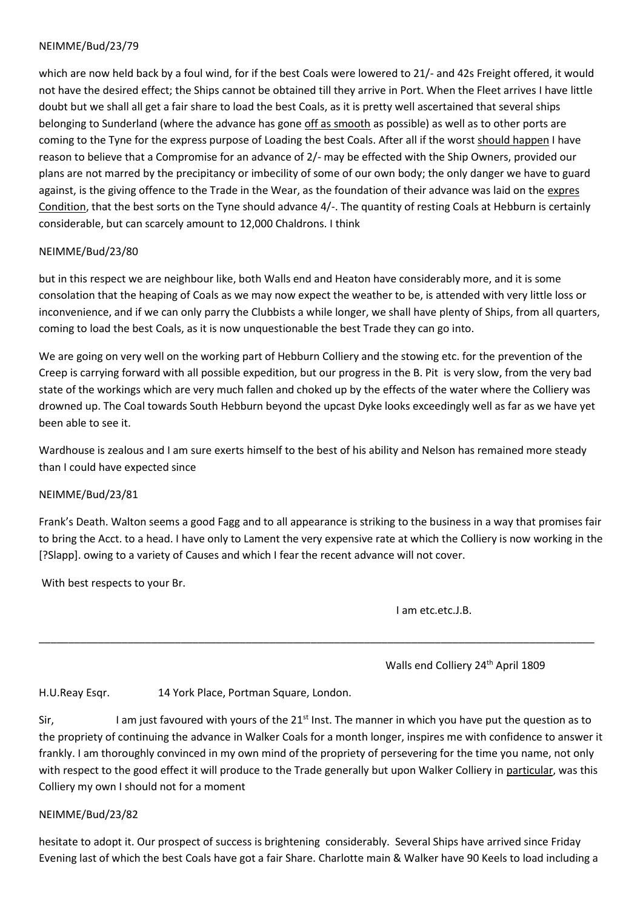which are now held back by a foul wind, for if the best Coals were lowered to 21/- and 42s Freight offered, it would not have the desired effect; the Ships cannot be obtained till they arrive in Port. When the Fleet arrives I have little doubt but we shall all get a fair share to load the best Coals, as it is pretty well ascertained that several ships belonging to Sunderland (where the advance has gone off as smooth as possible) as well as to other ports are coming to the Tyne for the express purpose of Loading the best Coals. After all if the worst should happen I have reason to believe that a Compromise for an advance of 2/- may be effected with the Ship Owners, provided our plans are not marred by the precipitancy or imbecility of some of our own body; the only danger we have to guard against, is the giving offence to the Trade in the Wear, as the foundation of their advance was laid on the expres Condition, that the best sorts on the Tyne should advance 4/-. The quantity of resting Coals at Hebburn is certainly considerable, but can scarcely amount to 12,000 Chaldrons. I think

## NEIMME/Bud/23/80

but in this respect we are neighbour like, both Walls end and Heaton have considerably more, and it is some consolation that the heaping of Coals as we may now expect the weather to be, is attended with very little loss or inconvenience, and if we can only parry the Clubbists a while longer, we shall have plenty of Ships, from all quarters, coming to load the best Coals, as it is now unquestionable the best Trade they can go into.

We are going on very well on the working part of Hebburn Colliery and the stowing etc. for the prevention of the Creep is carrying forward with all possible expedition, but our progress in the B. Pit is very slow, from the very bad state of the workings which are very much fallen and choked up by the effects of the water where the Colliery was drowned up. The Coal towards South Hebburn beyond the upcast Dyke looks exceedingly well as far as we have yet been able to see it.

Wardhouse is zealous and I am sure exerts himself to the best of his ability and Nelson has remained more steady than I could have expected since

### NEIMME/Bud/23/81

Frank's Death. Walton seems a good Fagg and to all appearance is striking to the business in a way that promises fair to bring the Acct. to a head. I have only to Lament the very expensive rate at which the Colliery is now working in the [?Slapp]. owing to a variety of Causes and which I fear the recent advance will not cover.

\_\_\_\_\_\_\_\_\_\_\_\_\_\_\_\_\_\_\_\_\_\_\_\_\_\_\_\_\_\_\_\_\_\_\_\_\_\_\_\_\_\_\_\_\_\_\_\_\_\_\_\_\_\_\_\_\_\_\_\_\_\_\_\_\_\_\_\_\_\_\_\_\_\_\_\_\_\_\_\_\_\_\_\_\_\_\_\_\_\_\_\_\_\_

With best respects to your Br.

I am etc.etc.J.B.

Walls end Colliery 24<sup>th</sup> April 1809

H.U.Reay Esqr. 14 York Place, Portman Square, London.

Sir, I am just favoured with yours of the  $21<sup>st</sup>$  Inst. The manner in which you have put the question as to the propriety of continuing the advance in Walker Coals for a month longer, inspires me with confidence to answer it frankly. I am thoroughly convinced in my own mind of the propriety of persevering for the time you name, not only with respect to the good effect it will produce to the Trade generally but upon Walker Colliery in particular, was this Colliery my own I should not for a moment

### NEIMME/Bud/23/82

hesitate to adopt it. Our prospect of success is brightening considerably. Several Ships have arrived since Friday Evening last of which the best Coals have got a fair Share. Charlotte main & Walker have 90 Keels to load including a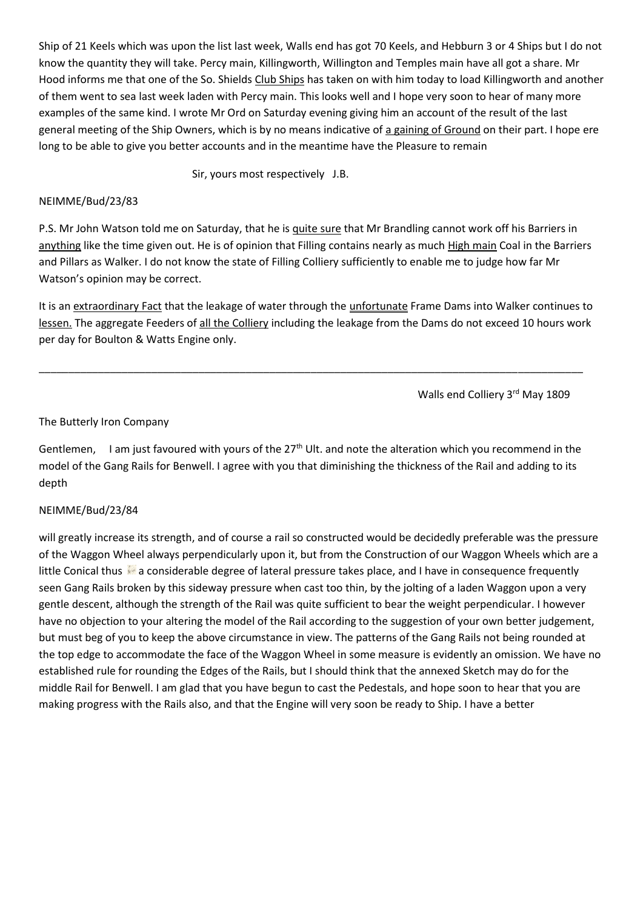Ship of 21 Keels which was upon the list last week, Walls end has got 70 Keels, and Hebburn 3 or 4 Ships but I do not know the quantity they will take. Percy main, Killingworth, Willington and Temples main have all got a share. Mr Hood informs me that one of the So. Shields Club Ships has taken on with him today to load Killingworth and another of them went to sea last week laden with Percy main. This looks well and I hope very soon to hear of many more examples of the same kind. I wrote Mr Ord on Saturday evening giving him an account of the result of the last general meeting of the Ship Owners, which is by no means indicative of a gaining of Ground on their part. I hope ere long to be able to give you better accounts and in the meantime have the Pleasure to remain

Sir, yours most respectively J.B.

## NEIMME/Bud/23/83

P.S. Mr John Watson told me on Saturday, that he is quite sure that Mr Brandling cannot work off his Barriers in anything like the time given out. He is of opinion that Filling contains nearly as much High main Coal in the Barriers and Pillars as Walker. I do not know the state of Filling Colliery sufficiently to enable me to judge how far Mr Watson's opinion may be correct.

It is an extraordinary Fact that the leakage of water through the unfortunate Frame Dams into Walker continues to lessen. The aggregate Feeders of all the Colliery including the leakage from the Dams do not exceed 10 hours work per day for Boulton & Watts Engine only.

\_\_\_\_\_\_\_\_\_\_\_\_\_\_\_\_\_\_\_\_\_\_\_\_\_\_\_\_\_\_\_\_\_\_\_\_\_\_\_\_\_\_\_\_\_\_\_\_\_\_\_\_\_\_\_\_\_\_\_\_\_\_\_\_\_\_\_\_\_\_\_\_\_\_\_\_\_\_\_\_\_\_\_\_\_\_\_\_\_\_\_\_

Walls end Colliery 3rd May 1809

## The Butterly Iron Company

Gentlemen, I am just favoured with yours of the  $27<sup>th</sup>$  Ult. and note the alteration which you recommend in the model of the Gang Rails for Benwell. I agree with you that diminishing the thickness of the Rail and adding to its depth

### NEIMME/Bud/23/84

will greatly increase its strength, and of course a rail so constructed would be decidedly preferable was the pressure of the Waggon Wheel always perpendicularly upon it, but from the Construction of our Waggon Wheels which are a little Conical thus **a** considerable degree of lateral pressure takes place, and I have in consequence frequently seen Gang Rails broken by this sideway pressure when cast too thin, by the jolting of a laden Waggon upon a very gentle descent, although the strength of the Rail was quite sufficient to bear the weight perpendicular. I however have no objection to your altering the model of the Rail according to the suggestion of your own better judgement, but must beg of you to keep the above circumstance in view. The patterns of the Gang Rails not being rounded at the top edge to accommodate the face of the Waggon Wheel in some measure is evidently an omission. We have no established rule for rounding the Edges of the Rails, but I should think that the annexed Sketch may do for the middle Rail for Benwell. I am glad that you have begun to cast the Pedestals, and hope soon to hear that you are making progress with the Rails also, and that the Engine will very soon be ready to Ship. I have a better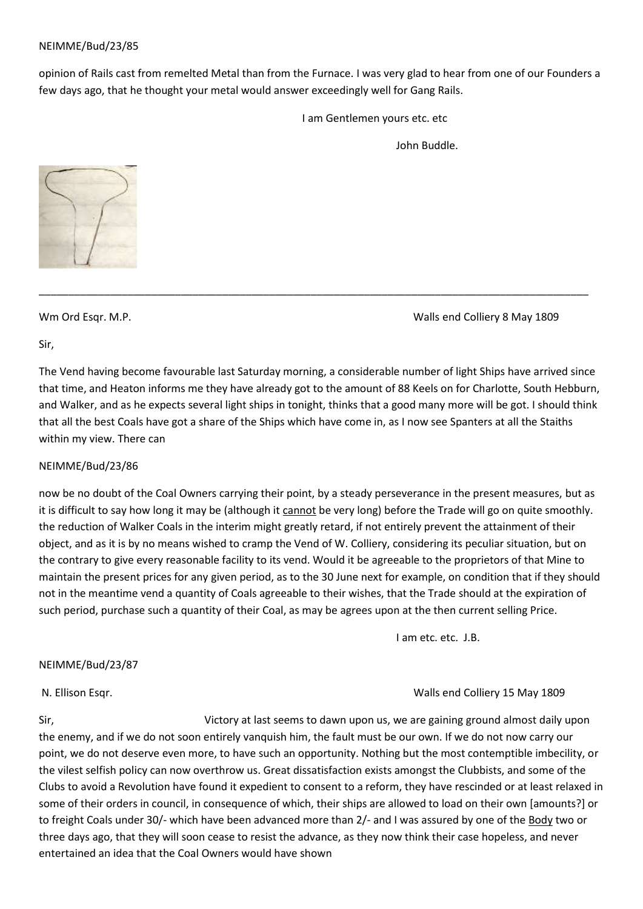opinion of Rails cast from remelted Metal than from the Furnace. I was very glad to hear from one of our Founders a few days ago, that he thought your metal would answer exceedingly well for Gang Rails.

I am Gentlemen yours etc. etc

John Buddle.



Wm Ord Esqr. M.P. No. 2008 and Colliery 8 May 1809

Sir,

The Vend having become favourable last Saturday morning, a considerable number of light Ships have arrived since that time, and Heaton informs me they have already got to the amount of 88 Keels on for Charlotte, South Hebburn, and Walker, and as he expects several light ships in tonight, thinks that a good many more will be got. I should think that all the best Coals have got a share of the Ships which have come in, as I now see Spanters at all the Staiths within my view. There can

\_\_\_\_\_\_\_\_\_\_\_\_\_\_\_\_\_\_\_\_\_\_\_\_\_\_\_\_\_\_\_\_\_\_\_\_\_\_\_\_\_\_\_\_\_\_\_\_\_\_\_\_\_\_\_\_\_\_\_\_\_\_\_\_\_\_\_\_\_\_\_\_\_\_\_\_\_\_\_\_\_\_\_\_\_\_\_\_\_\_\_\_\_

### NEIMME/Bud/23/86

now be no doubt of the Coal Owners carrying their point, by a steady perseverance in the present measures, but as it is difficult to say how long it may be (although it cannot be very long) before the Trade will go on quite smoothly. the reduction of Walker Coals in the interim might greatly retard, if not entirely prevent the attainment of their object, and as it is by no means wished to cramp the Vend of W. Colliery, considering its peculiar situation, but on the contrary to give every reasonable facility to its vend. Would it be agreeable to the proprietors of that Mine to maintain the present prices for any given period, as to the 30 June next for example, on condition that if they should not in the meantime vend a quantity of Coals agreeable to their wishes, that the Trade should at the expiration of such period, purchase such a quantity of their Coal, as may be agrees upon at the then current selling Price.

I am etc. etc. J.B.

### NEIMME/Bud/23/87

### N. Ellison Esqr. Walls end Colliery 15 May 1809

Sir, Sir, Subsetting at last seems to dawn upon us, we are gaining ground almost daily upon the enemy, and if we do not soon entirely vanquish him, the fault must be our own. If we do not now carry our point, we do not deserve even more, to have such an opportunity. Nothing but the most contemptible imbecility, or the vilest selfish policy can now overthrow us. Great dissatisfaction exists amongst the Clubbists, and some of the Clubs to avoid a Revolution have found it expedient to consent to a reform, they have rescinded or at least relaxed in some of their orders in council, in consequence of which, their ships are allowed to load on their own [amounts?] or to freight Coals under 30/- which have been advanced more than 2/- and I was assured by one of the Body two or three days ago, that they will soon cease to resist the advance, as they now think their case hopeless, and never entertained an idea that the Coal Owners would have shown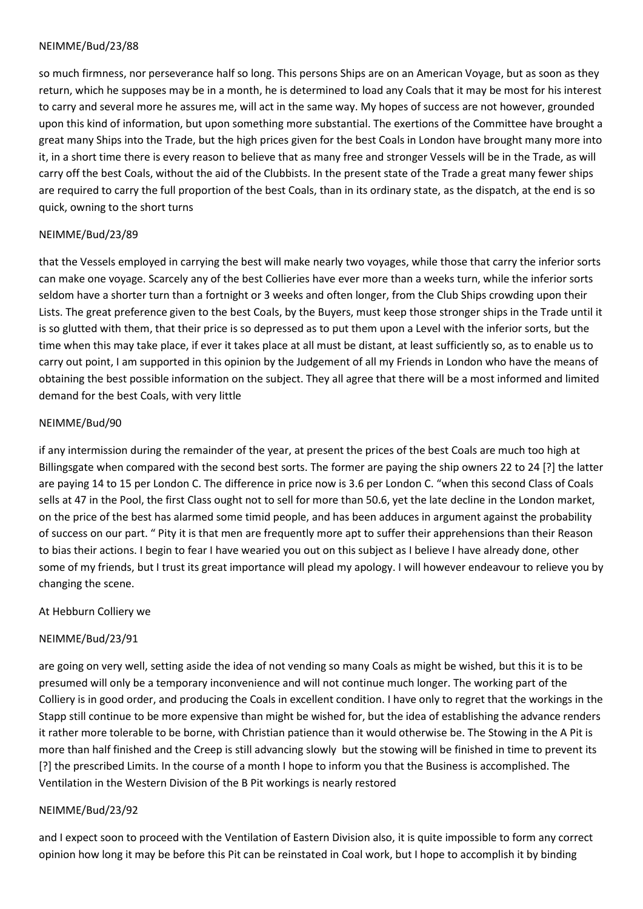so much firmness, nor perseverance half so long. This persons Ships are on an American Voyage, but as soon as they return, which he supposes may be in a month, he is determined to load any Coals that it may be most for his interest to carry and several more he assures me, will act in the same way. My hopes of success are not however, grounded upon this kind of information, but upon something more substantial. The exertions of the Committee have brought a great many Ships into the Trade, but the high prices given for the best Coals in London have brought many more into it, in a short time there is every reason to believe that as many free and stronger Vessels will be in the Trade, as will carry off the best Coals, without the aid of the Clubbists. In the present state of the Trade a great many fewer ships are required to carry the full proportion of the best Coals, than in its ordinary state, as the dispatch, at the end is so quick, owning to the short turns

# NEIMME/Bud/23/89

that the Vessels employed in carrying the best will make nearly two voyages, while those that carry the inferior sorts can make one voyage. Scarcely any of the best Collieries have ever more than a weeks turn, while the inferior sorts seldom have a shorter turn than a fortnight or 3 weeks and often longer, from the Club Ships crowding upon their Lists. The great preference given to the best Coals, by the Buyers, must keep those stronger ships in the Trade until it is so glutted with them, that their price is so depressed as to put them upon a Level with the inferior sorts, but the time when this may take place, if ever it takes place at all must be distant, at least sufficiently so, as to enable us to carry out point, I am supported in this opinion by the Judgement of all my Friends in London who have the means of obtaining the best possible information on the subject. They all agree that there will be a most informed and limited demand for the best Coals, with very little

# NEIMME/Bud/90

if any intermission during the remainder of the year, at present the prices of the best Coals are much too high at Billingsgate when compared with the second best sorts. The former are paying the ship owners 22 to 24 [?] the latter are paying 14 to 15 per London C. The difference in price now is 3.6 per London C. "when this second Class of Coals sells at 47 in the Pool, the first Class ought not to sell for more than 50.6, yet the late decline in the London market, on the price of the best has alarmed some timid people, and has been adduces in argument against the probability of success on our part. " Pity it is that men are frequently more apt to suffer their apprehensions than their Reason to bias their actions. I begin to fear I have wearied you out on this subject as I believe I have already done, other some of my friends, but I trust its great importance will plead my apology. I will however endeavour to relieve you by changing the scene.

# At Hebburn Colliery we

# NEIMME/Bud/23/91

are going on very well, setting aside the idea of not vending so many Coals as might be wished, but this it is to be presumed will only be a temporary inconvenience and will not continue much longer. The working part of the Colliery is in good order, and producing the Coals in excellent condition. I have only to regret that the workings in the Stapp still continue to be more expensive than might be wished for, but the idea of establishing the advance renders it rather more tolerable to be borne, with Christian patience than it would otherwise be. The Stowing in the A Pit is more than half finished and the Creep is still advancing slowly but the stowing will be finished in time to prevent its [?] the prescribed Limits. In the course of a month I hope to inform you that the Business is accomplished. The Ventilation in the Western Division of the B Pit workings is nearly restored

### NEIMME/Bud/23/92

and I expect soon to proceed with the Ventilation of Eastern Division also, it is quite impossible to form any correct opinion how long it may be before this Pit can be reinstated in Coal work, but I hope to accomplish it by binding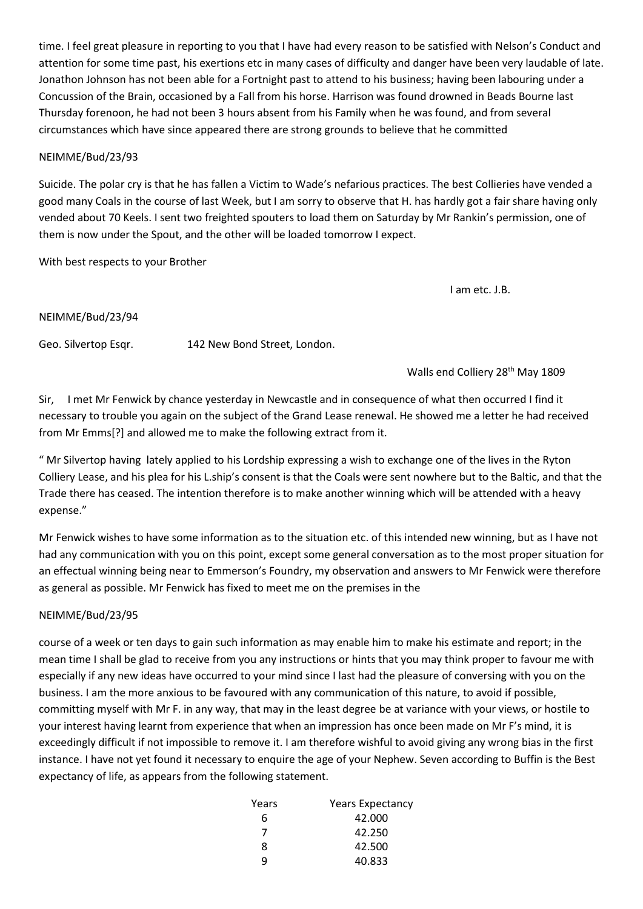time. I feel great pleasure in reporting to you that I have had every reason to be satisfied with Nelson's Conduct and attention for some time past, his exertions etc in many cases of difficulty and danger have been very laudable of late. Jonathon Johnson has not been able for a Fortnight past to attend to his business; having been labouring under a Concussion of the Brain, occasioned by a Fall from his horse. Harrison was found drowned in Beads Bourne last Thursday forenoon, he had not been 3 hours absent from his Family when he was found, and from several circumstances which have since appeared there are strong grounds to believe that he committed

### NEIMME/Bud/23/93

Suicide. The polar cry is that he has fallen a Victim to Wade's nefarious practices. The best Collieries have vended a good many Coals in the course of last Week, but I am sorry to observe that H. has hardly got a fair share having only vended about 70 Keels. I sent two freighted spouters to load them on Saturday by Mr Rankin's permission, one of them is now under the Spout, and the other will be loaded tomorrow I expect.

With best respects to your Brother

I am etc. J.B.

#### NEIMME/Bud/23/94

Geo. Silvertop Esqr. 142 New Bond Street, London.

Walls end Colliery 28<sup>th</sup> May 1809

Sir, I met Mr Fenwick by chance yesterday in Newcastle and in consequence of what then occurred I find it necessary to trouble you again on the subject of the Grand Lease renewal. He showed me a letter he had received from Mr Emms[?] and allowed me to make the following extract from it.

" Mr Silvertop having lately applied to his Lordship expressing a wish to exchange one of the lives in the Ryton Colliery Lease, and his plea for his L.ship's consent is that the Coals were sent nowhere but to the Baltic, and that the Trade there has ceased. The intention therefore is to make another winning which will be attended with a heavy expense."

Mr Fenwick wishes to have some information as to the situation etc. of this intended new winning, but as I have not had any communication with you on this point, except some general conversation as to the most proper situation for an effectual winning being near to Emmerson's Foundry, my observation and answers to Mr Fenwick were therefore as general as possible. Mr Fenwick has fixed to meet me on the premises in the

### NEIMME/Bud/23/95

course of a week or ten days to gain such information as may enable him to make his estimate and report; in the mean time I shall be glad to receive from you any instructions or hints that you may think proper to favour me with especially if any new ideas have occurred to your mind since I last had the pleasure of conversing with you on the business. I am the more anxious to be favoured with any communication of this nature, to avoid if possible, committing myself with Mr F. in any way, that may in the least degree be at variance with your views, or hostile to your interest having learnt from experience that when an impression has once been made on Mr F's mind, it is exceedingly difficult if not impossible to remove it. I am therefore wishful to avoid giving any wrong bias in the first instance. I have not yet found it necessary to enquire the age of your Nephew. Seven according to Buffin is the Best expectancy of life, as appears from the following statement.

| Years | <b>Years Expectancy</b> |
|-------|-------------------------|
| 6     | 42.000                  |
| 7     | 42.250                  |
| 8     | 42.500                  |
| a     | 40.833                  |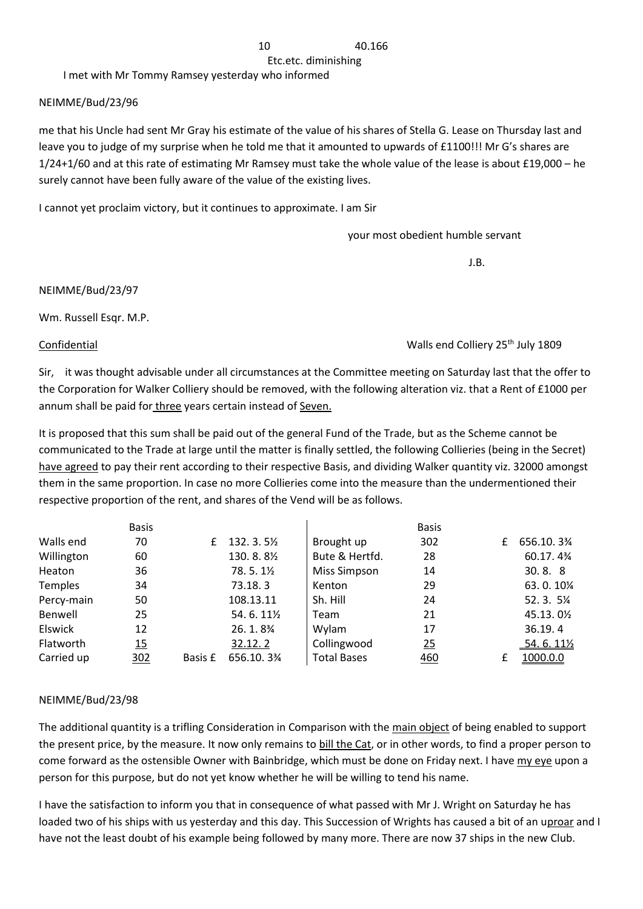Etc.etc. diminishing

I met with Mr Tommy Ramsey yesterday who informed

## NEIMME/Bud/23/96

me that his Uncle had sent Mr Gray his estimate of the value of his shares of Stella G. Lease on Thursday last and leave you to judge of my surprise when he told me that it amounted to upwards of £1100!!! Mr G's shares are 1/24+1/60 and at this rate of estimating Mr Ramsey must take the whole value of the lease is about £19,000 – he surely cannot have been fully aware of the value of the existing lives.

I cannot yet proclaim victory, but it continues to approximate. I am Sir

your most obedient humble servant

J.B.

NEIMME/Bud/23/97

Wm. Russell Esqr. M.P.

Confidential Walls end Colliery 25th July 1809

Sir, it was thought advisable under all circumstances at the Committee meeting on Saturday last that the offer to the Corporation for Walker Colliery should be removed, with the following alteration viz. that a Rent of £1000 per annum shall be paid for three years certain instead of Seven.

It is proposed that this sum shall be paid out of the general Fund of the Trade, but as the Scheme cannot be communicated to the Trade at large until the matter is finally settled, the following Collieries (being in the Secret) have agreed to pay their rent according to their respective Basis, and dividing Walker quantity viz. 32000 amongst them in the same proportion. In case no more Collieries come into the measure than the undermentioned their respective proportion of the rent, and shares of the Vend will be as follows.

|                | <b>Basis</b> |         |                                    |                    | <b>Basis</b> |   |            |
|----------------|--------------|---------|------------------------------------|--------------------|--------------|---|------------|
| Walls end      | 70           | £       | 132.3.51/2                         | Brought up         | 302          | £ | 656.10.3%  |
| Willington     | 60           |         | 130.8.81/2                         | Bute & Hertfd.     | 28           |   | 60.17.4%   |
| Heaton         | 36           |         | $78.5.1\%$                         | Miss Simpson       | 14           |   | 30.8.8     |
| Temples        | 34           |         | 73.18.3                            | Kenton             | 29           |   | 63.0.10%   |
| Percy-main     | 50           |         | 108.13.11                          | Sh. Hill           | 24           |   | 52.3.5%    |
| Benwell        | 25           |         | 54.6.111/2                         | Team               | 21           |   | 45.13.01/2 |
| <b>Elswick</b> | 12           |         | 26.1.8 <sup>3</sup> / <sub>4</sub> | Wylam              | 17           |   | 36.19.4    |
| Flatworth      | 15           |         | 32.12.2                            | Collingwood        | 25           |   | 54.6.111/2 |
| Carried up     | 302          | Basis £ | 656.10.3%                          | <b>Total Bases</b> | 460          | £ | 1000.0.0   |

# NEIMME/Bud/23/98

The additional quantity is a trifling Consideration in Comparison with the main object of being enabled to support the present price, by the measure. It now only remains to bill the Cat, or in other words, to find a proper person to come forward as the ostensible Owner with Bainbridge, which must be done on Friday next. I have my eye upon a person for this purpose, but do not yet know whether he will be willing to tend his name.

I have the satisfaction to inform you that in consequence of what passed with Mr J. Wright on Saturday he has loaded two of his ships with us yesterday and this day. This Succession of Wrights has caused a bit of an uproar and I have not the least doubt of his example being followed by many more. There are now 37 ships in the new Club.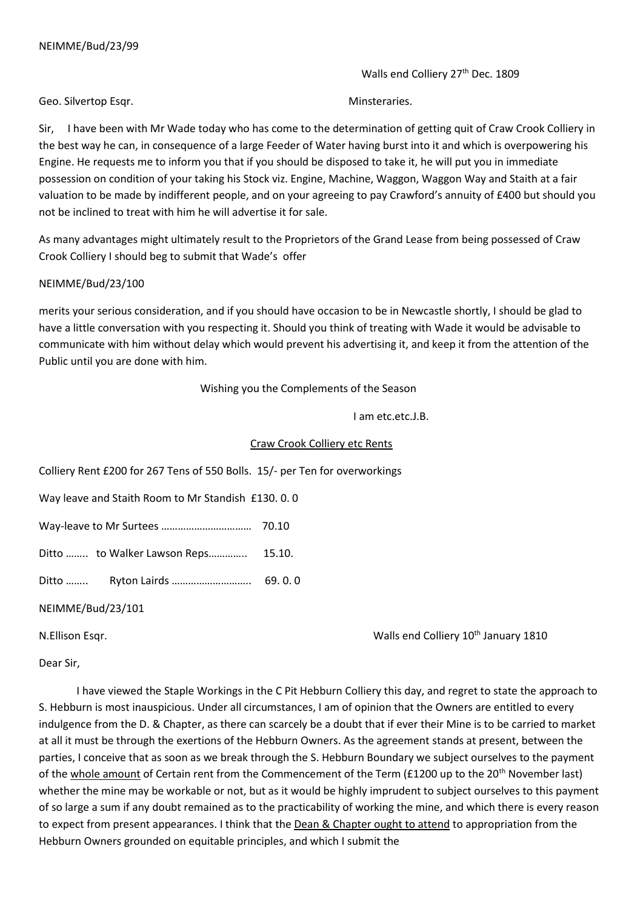Walls end Colliery 27<sup>th</sup> Dec. 1809

Geo. Silvertop Esqr. No. 2006. The Minsteraries.

Sir, I have been with Mr Wade today who has come to the determination of getting quit of Craw Crook Colliery in the best way he can, in consequence of a large Feeder of Water having burst into it and which is overpowering his Engine. He requests me to inform you that if you should be disposed to take it, he will put you in immediate possession on condition of your taking his Stock viz. Engine, Machine, Waggon, Waggon Way and Staith at a fair valuation to be made by indifferent people, and on your agreeing to pay Crawford's annuity of £400 but should you not be inclined to treat with him he will advertise it for sale.

As many advantages might ultimately result to the Proprietors of the Grand Lease from being possessed of Craw Crook Colliery I should beg to submit that Wade's offer

### NEIMME/Bud/23/100

merits your serious consideration, and if you should have occasion to be in Newcastle shortly, I should be glad to have a little conversation with you respecting it. Should you think of treating with Wade it would be advisable to communicate with him without delay which would prevent his advertising it, and keep it from the attention of the Public until you are done with him.

Wishing you the Complements of the Season

I am etc.etc.J.B.

### Craw Crook Colliery etc Rents

Colliery Rent £200 for 267 Tens of 550 Bolls. 15/- per Ten for overworkings

Way leave and Staith Room to Mr Standish £130. 0. 0

Way-leave to Mr Surtees …………………………… 70.10

Ditto ........ to Walker Lawson Reps................ 15.10.

Ditto …….. Ryton Lairds ……………………….. 69. 0. 0

NEIMME/Bud/23/101

N.Ellison Esqr. Walls end Colliery 10th January 1810

Dear Sir,

 I have viewed the Staple Workings in the C Pit Hebburn Colliery this day, and regret to state the approach to S. Hebburn is most inauspicious. Under all circumstances, I am of opinion that the Owners are entitled to every indulgence from the D. & Chapter, as there can scarcely be a doubt that if ever their Mine is to be carried to market at all it must be through the exertions of the Hebburn Owners. As the agreement stands at present, between the parties, I conceive that as soon as we break through the S. Hebburn Boundary we subject ourselves to the payment of the whole amount of Certain rent from the Commencement of the Term (£1200 up to the 20<sup>th</sup> November last) whether the mine may be workable or not, but as it would be highly imprudent to subject ourselves to this payment of so large a sum if any doubt remained as to the practicability of working the mine, and which there is every reason to expect from present appearances. I think that the Dean & Chapter ought to attend to appropriation from the Hebburn Owners grounded on equitable principles, and which I submit the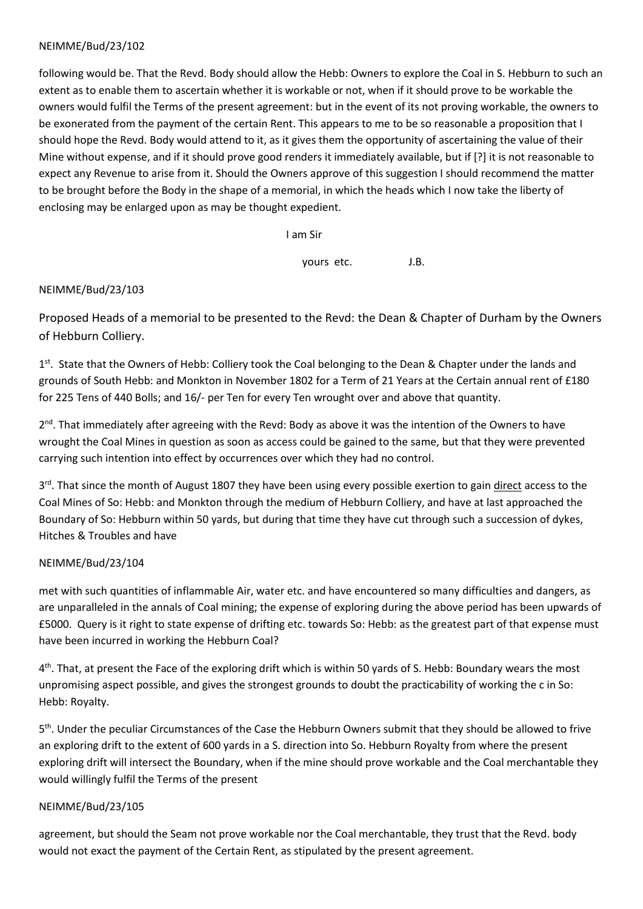following would be. That the Revd. Body should allow the Hebb: Owners to explore the Coal in S. Hebburn to such an extent as to enable them to ascertain whether it is workable or not, when if it should prove to be workable the owners would fulfil the Terms of the present agreement: but in the event of its not proving workable, the owners to be exonerated from the payment of the certain Rent. This appears to me to be so reasonable a proposition that I should hope the Revd. Body would attend to it, as it gives them the opportunity of ascertaining the value of their Mine without expense, and if it should prove good renders it immediately available, but if [?] it is not reasonable to expect any Revenue to arise from it. Should the Owners approve of this suggestion I should recommend the matter to be brought before the Body in the shape of a memorial, in which the heads which I now take the liberty of enclosing may be enlarged upon as may be thought expedient.

I am Sir

yours etc. J.B.

## NEIMME/Bud/23/103

Proposed Heads of a memorial to be presented to the Revd: the Dean & Chapter of Durham by the Owners of Hebburn Colliery.

1<sup>st</sup>. State that the Owners of Hebb: Colliery took the Coal belonging to the Dean & Chapter under the lands and grounds of South Hebb: and Monkton in November 1802 for a Term of 21 Years at the Certain annual rent of £180 for 225 Tens of 440 Bolls; and 16/- per Ten for every Ten wrought over and above that quantity.

2<sup>nd</sup>. That immediately after agreeing with the Revd: Body as above it was the intention of the Owners to have wrought the Coal Mines in question as soon as access could be gained to the same, but that they were prevented carrying such intention into effect by occurrences over which they had no control.

3<sup>rd</sup>. That since the month of August 1807 they have been using every possible exertion to gain direct access to the Coal Mines of So: Hebb: and Monkton through the medium of Hebburn Colliery, and have at last approached the Boundary of So: Hebburn within 50 yards, but during that time they have cut through such a succession of dykes, Hitches & Troubles and have

# NEIMME/Bud/23/104

met with such quantities of inflammable Air, water etc. and have encountered so many difficulties and dangers, as are unparalleled in the annals of Coal mining; the expense of exploring during the above period has been upwards of £5000. Query is it right to state expense of drifting etc. towards So: Hebb: as the greatest part of that expense must have been incurred in working the Hebburn Coal?

4<sup>th</sup>. That, at present the Face of the exploring drift which is within 50 yards of S. Hebb: Boundary wears the most unpromising aspect possible, and gives the strongest grounds to doubt the practicability of working the c in So: Hebb: Royalty.

5<sup>th</sup>. Under the peculiar Circumstances of the Case the Hebburn Owners submit that they should be allowed to frive an exploring drift to the extent of 600 yards in a S. direction into So. Hebburn Royalty from where the present exploring drift will intersect the Boundary, when if the mine should prove workable and the Coal merchantable they would willingly fulfil the Terms of the present

# NEIMME/Bud/23/105

agreement, but should the Seam not prove workable nor the Coal merchantable, they trust that the Revd. body would not exact the payment of the Certain Rent, as stipulated by the present agreement.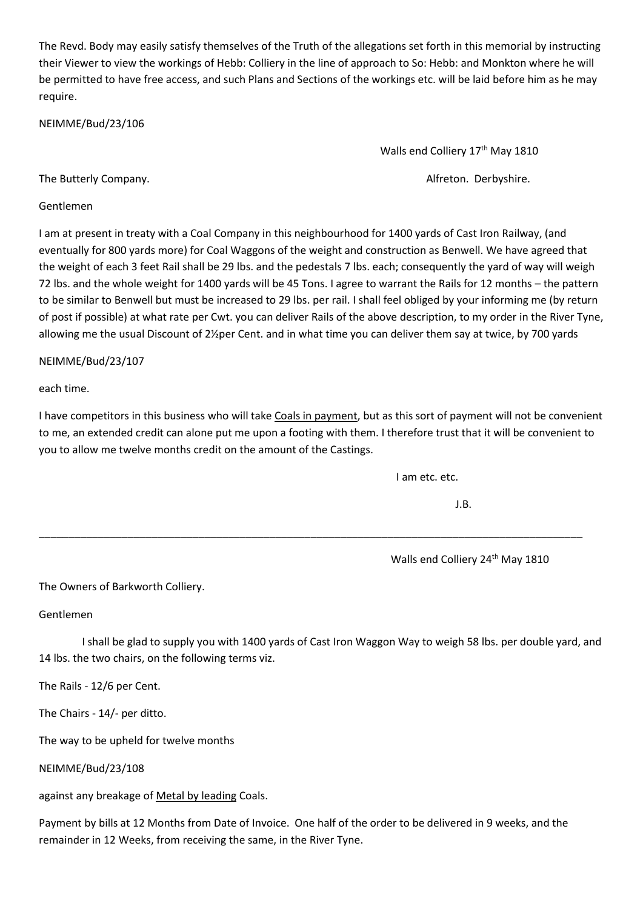The Revd. Body may easily satisfy themselves of the Truth of the allegations set forth in this memorial by instructing their Viewer to view the workings of Hebb: Colliery in the line of approach to So: Hebb: and Monkton where he will be permitted to have free access, and such Plans and Sections of the workings etc. will be laid before him as he may require.

NEIMME/Bud/23/106

Walls end Colliery 17<sup>th</sup> May 1810

The Butterly Company. The Butterly Company.

Gentlemen

I am at present in treaty with a Coal Company in this neighbourhood for 1400 yards of Cast Iron Railway, (and eventually for 800 yards more) for Coal Waggons of the weight and construction as Benwell. We have agreed that the weight of each 3 feet Rail shall be 29 lbs. and the pedestals 7 lbs. each; consequently the yard of way will weigh 72 lbs. and the whole weight for 1400 yards will be 45 Tons. I agree to warrant the Rails for 12 months – the pattern to be similar to Benwell but must be increased to 29 lbs. per rail. I shall feel obliged by your informing me (by return of post if possible) at what rate per Cwt. you can deliver Rails of the above description, to my order in the River Tyne, allowing me the usual Discount of 2½per Cent. and in what time you can deliver them say at twice, by 700 yards

NEIMME/Bud/23/107

each time.

I have competitors in this business who will take Coals in payment, but as this sort of payment will not be convenient to me, an extended credit can alone put me upon a footing with them. I therefore trust that it will be convenient to you to allow me twelve months credit on the amount of the Castings.

\_\_\_\_\_\_\_\_\_\_\_\_\_\_\_\_\_\_\_\_\_\_\_\_\_\_\_\_\_\_\_\_\_\_\_\_\_\_\_\_\_\_\_\_\_\_\_\_\_\_\_\_\_\_\_\_\_\_\_\_\_\_\_\_\_\_\_\_\_\_\_\_\_\_\_\_\_\_\_\_\_\_\_\_\_\_\_\_\_\_\_\_

I am etc. etc.

J.B.

Walls end Colliery 24<sup>th</sup> May 1810

The Owners of Barkworth Colliery.

Gentlemen

 I shall be glad to supply you with 1400 yards of Cast Iron Waggon Way to weigh 58 lbs. per double yard, and 14 lbs. the two chairs, on the following terms viz.

The Rails - 12/6 per Cent.

The Chairs - 14/- per ditto.

The way to be upheld for twelve months

NEIMME/Bud/23/108

against any breakage of Metal by leading Coals.

Payment by bills at 12 Months from Date of Invoice. One half of the order to be delivered in 9 weeks, and the remainder in 12 Weeks, from receiving the same, in the River Tyne.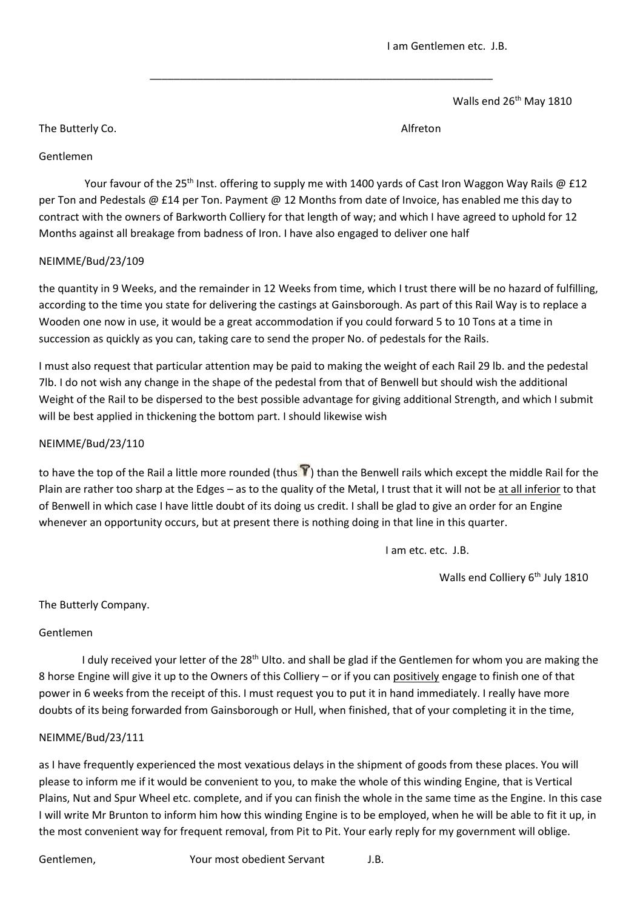Walls end 26<sup>th</sup> May 1810

The Butterly Co. **Alfreton** 

# Gentlemen

Your favour of the 25<sup>th</sup> Inst. offering to supply me with 1400 yards of Cast Iron Waggon Way Rails @ £12 per Ton and Pedestals @ £14 per Ton. Payment @ 12 Months from date of Invoice, has enabled me this day to contract with the owners of Barkworth Colliery for that length of way; and which I have agreed to uphold for 12 Months against all breakage from badness of Iron. I have also engaged to deliver one half

\_\_\_\_\_\_\_\_\_\_\_\_\_\_\_\_\_\_\_\_\_\_\_\_\_\_\_\_\_\_\_\_\_\_\_\_\_\_\_\_\_\_\_\_\_\_\_\_\_\_\_\_\_\_\_\_\_\_

# NEIMME/Bud/23/109

the quantity in 9 Weeks, and the remainder in 12 Weeks from time, which I trust there will be no hazard of fulfilling, according to the time you state for delivering the castings at Gainsborough. As part of this Rail Way is to replace a Wooden one now in use, it would be a great accommodation if you could forward 5 to 10 Tons at a time in succession as quickly as you can, taking care to send the proper No. of pedestals for the Rails.

I must also request that particular attention may be paid to making the weight of each Rail 29 lb. and the pedestal 7lb. I do not wish any change in the shape of the pedestal from that of Benwell but should wish the additional Weight of the Rail to be dispersed to the best possible advantage for giving additional Strength, and which I submit will be best applied in thickening the bottom part. I should likewise wish

# NEIMME/Bud/23/110

to have the top of the Rail a little more rounded (thus  $\hat{V}$ ) than the Benwell rails which except the middle Rail for the Plain are rather too sharp at the Edges – as to the quality of the Metal, I trust that it will not be at all inferior to that of Benwell in which case I have little doubt of its doing us credit. I shall be glad to give an order for an Engine whenever an opportunity occurs, but at present there is nothing doing in that line in this quarter.

I am etc. etc. J.B.

Walls end Colliery 6<sup>th</sup> July 1810

# The Butterly Company.

# Gentlemen

I duly received your letter of the 28<sup>th</sup> Ulto. and shall be glad if the Gentlemen for whom you are making the 8 horse Engine will give it up to the Owners of this Colliery – or if you can positively engage to finish one of that power in 6 weeks from the receipt of this. I must request you to put it in hand immediately. I really have more doubts of its being forwarded from Gainsborough or Hull, when finished, that of your completing it in the time,

# NEIMME/Bud/23/111

as I have frequently experienced the most vexatious delays in the shipment of goods from these places. You will please to inform me if it would be convenient to you, to make the whole of this winding Engine, that is Vertical Plains, Nut and Spur Wheel etc. complete, and if you can finish the whole in the same time as the Engine. In this case I will write Mr Brunton to inform him how this winding Engine is to be employed, when he will be able to fit it up, in the most convenient way for frequent removal, from Pit to Pit. Your early reply for my government will oblige.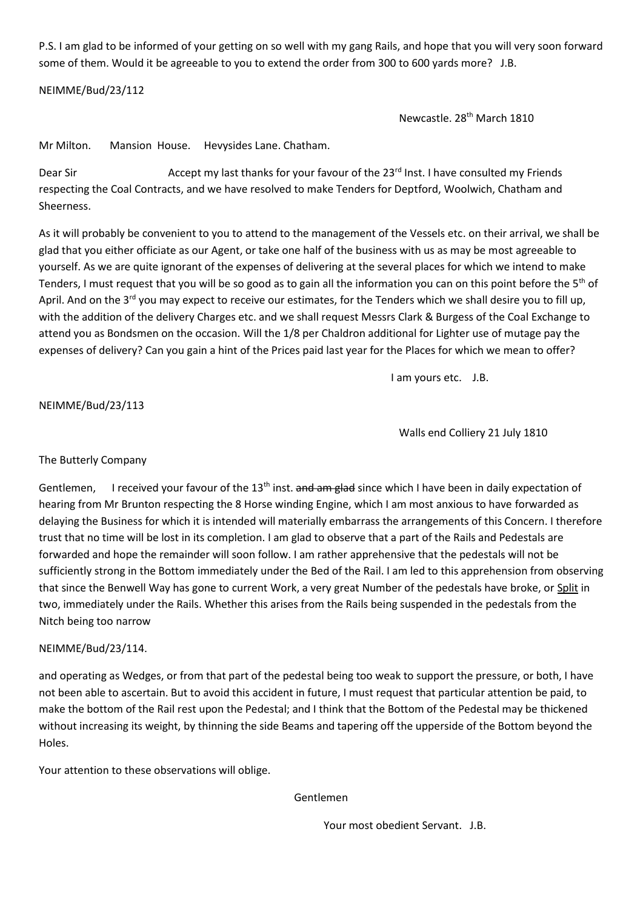P.S. I am glad to be informed of your getting on so well with my gang Rails, and hope that you will very soon forward some of them. Would it be agreeable to you to extend the order from 300 to 600 yards more? J.B.

NEIMME/Bud/23/112

Newcastle. 28th March 1810

Mr Milton. Mansion House. Hevysides Lane. Chatham.

Dear Sir Accept my last thanks for your favour of the 23<sup>rd</sup> Inst. I have consulted my Friends respecting the Coal Contracts, and we have resolved to make Tenders for Deptford, Woolwich, Chatham and Sheerness.

As it will probably be convenient to you to attend to the management of the Vessels etc. on their arrival, we shall be glad that you either officiate as our Agent, or take one half of the business with us as may be most agreeable to yourself. As we are quite ignorant of the expenses of delivering at the several places for which we intend to make Tenders, I must request that you will be so good as to gain all the information you can on this point before the 5<sup>th</sup> of April. And on the 3<sup>rd</sup> you may expect to receive our estimates, for the Tenders which we shall desire you to fill up, with the addition of the delivery Charges etc. and we shall request Messrs Clark & Burgess of the Coal Exchange to attend you as Bondsmen on the occasion. Will the 1/8 per Chaldron additional for Lighter use of mutage pay the expenses of delivery? Can you gain a hint of the Prices paid last year for the Places for which we mean to offer?

I am yours etc. J.B.

NEIMME/Bud/23/113

Walls end Colliery 21 July 1810

# The Butterly Company

Gentlemen, I received your favour of the 13<sup>th</sup> inst. and am glad since which I have been in daily expectation of hearing from Mr Brunton respecting the 8 Horse winding Engine, which I am most anxious to have forwarded as delaying the Business for which it is intended will materially embarrass the arrangements of this Concern. I therefore trust that no time will be lost in its completion. I am glad to observe that a part of the Rails and Pedestals are forwarded and hope the remainder will soon follow. I am rather apprehensive that the pedestals will not be sufficiently strong in the Bottom immediately under the Bed of the Rail. I am led to this apprehension from observing that since the Benwell Way has gone to current Work, a very great Number of the pedestals have broke, or Split in two, immediately under the Rails. Whether this arises from the Rails being suspended in the pedestals from the Nitch being too narrow

# NEIMME/Bud/23/114.

and operating as Wedges, or from that part of the pedestal being too weak to support the pressure, or both, I have not been able to ascertain. But to avoid this accident in future, I must request that particular attention be paid, to make the bottom of the Rail rest upon the Pedestal; and I think that the Bottom of the Pedestal may be thickened without increasing its weight, by thinning the side Beams and tapering off the upperside of the Bottom beyond the Holes.

Your attention to these observations will oblige.

Gentlemen

Your most obedient Servant. J.B.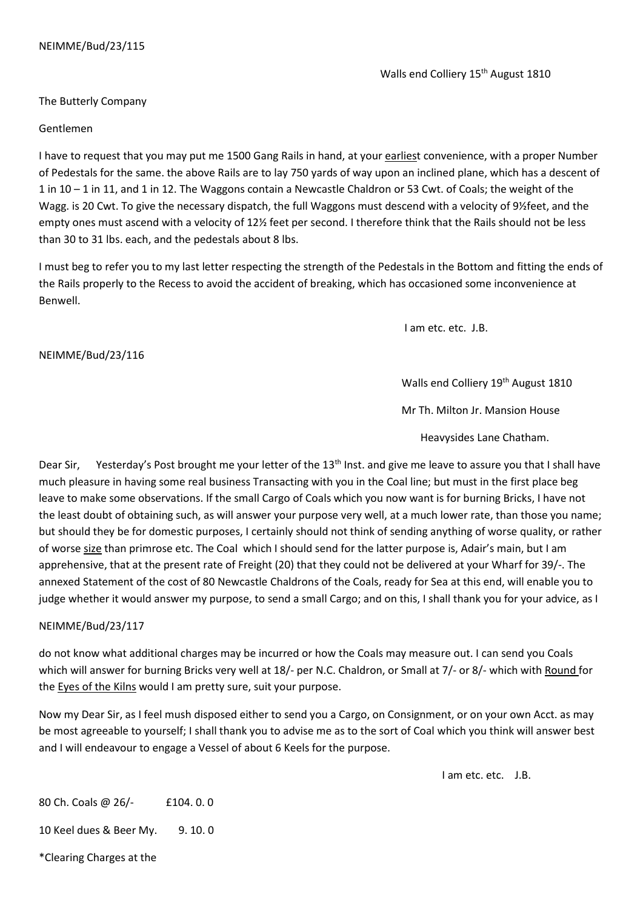Walls end Colliery 15<sup>th</sup> August 1810

The Butterly Company

### Gentlemen

I have to request that you may put me 1500 Gang Rails in hand, at your earliest convenience, with a proper Number of Pedestals for the same. the above Rails are to lay 750 yards of way upon an inclined plane, which has a descent of 1 in 10 – 1 in 11, and 1 in 12. The Waggons contain a Newcastle Chaldron or 53 Cwt. of Coals; the weight of the Wagg. is 20 Cwt. To give the necessary dispatch, the full Waggons must descend with a velocity of 9½feet, and the empty ones must ascend with a velocity of 12½ feet per second. I therefore think that the Rails should not be less than 30 to 31 lbs. each, and the pedestals about 8 lbs.

I must beg to refer you to my last letter respecting the strength of the Pedestals in the Bottom and fitting the ends of the Rails properly to the Recess to avoid the accident of breaking, which has occasioned some inconvenience at Benwell.

I am etc. etc. J.B.

NEIMME/Bud/23/116

Walls end Colliery 19<sup>th</sup> August 1810

Mr Th. Milton Jr. Mansion House

Heavysides Lane Chatham.

Dear Sir, Yesterday's Post brought me your letter of the 13<sup>th</sup> Inst. and give me leave to assure you that I shall have much pleasure in having some real business Transacting with you in the Coal line; but must in the first place beg leave to make some observations. If the small Cargo of Coals which you now want is for burning Bricks, I have not the least doubt of obtaining such, as will answer your purpose very well, at a much lower rate, than those you name; but should they be for domestic purposes, I certainly should not think of sending anything of worse quality, or rather of worse size than primrose etc. The Coal which I should send for the latter purpose is, Adair's main, but I am apprehensive, that at the present rate of Freight (20) that they could not be delivered at your Wharf for 39/-. The annexed Statement of the cost of 80 Newcastle Chaldrons of the Coals, ready for Sea at this end, will enable you to judge whether it would answer my purpose, to send a small Cargo; and on this, I shall thank you for your advice, as I

### NEIMME/Bud/23/117

do not know what additional charges may be incurred or how the Coals may measure out. I can send you Coals which will answer for burning Bricks very well at 18/- per N.C. Chaldron, or Small at 7/- or 8/- which with Round for the Eyes of the Kilns would I am pretty sure, suit your purpose.

Now my Dear Sir, as I feel mush disposed either to send you a Cargo, on Consignment, or on your own Acct. as may be most agreeable to yourself; I shall thank you to advise me as to the sort of Coal which you think will answer best and I will endeavour to engage a Vessel of about 6 Keels for the purpose.

I am etc. etc. J.B.

80 Ch. Coals @ 26/- £104. 0. 0 10 Keel dues & Beer My. 9. 10. 0

\*Clearing Charges at the